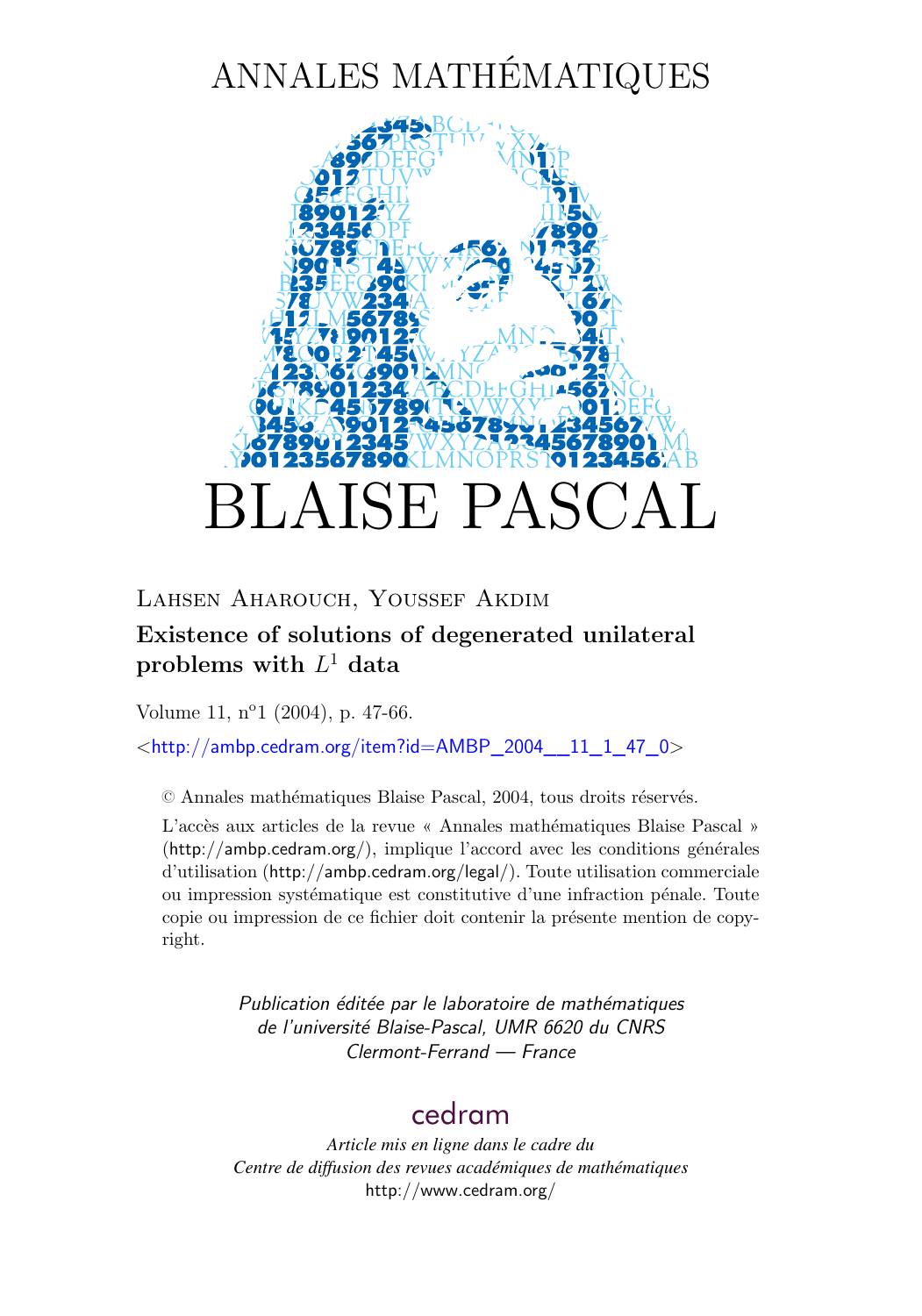# ANNALES MATHÉMATIQUES



### Lahsen Aharouch, Youssef Akdim

# **Existence of solutions of degenerated unilateral**  $\mathbf{prob}$  lems with  $L^1$  data

Volume 11, n<sup>o</sup>1 (2004), p. 47[-66.](#page-19-0)

<[http://ambp.cedram.org/item?id=AMBP\\_2004\\_\\_11\\_1\\_47\\_0](http://ambp.cedram.org/item?id=AMBP_2004__11_1_47_0)>

© Annales mathématiques Blaise Pascal, 2004, tous droits réservés.

L'accès aux articles de la revue « Annales mathématiques Blaise Pascal » (<http://ambp.cedram.org/>), implique l'accord avec les conditions générales d'utilisation (<http://ambp.cedram.org/legal/>). Toute utilisation commerciale ou impression systématique est constitutive d'une infraction pénale. Toute copie ou impression de ce fichier doit contenir la présente mention de copyright.

> *Publication éditée par le laboratoire de mathématiques de l'université Blaise-Pascal, UMR 6620 du CNRS Clermont-Ferrand — France*

# [cedram](http://www.cedram.org/)

*Article mis en ligne dans le cadre du Centre de diffusion des revues académiques de mathématiques* <http://www.cedram.org/>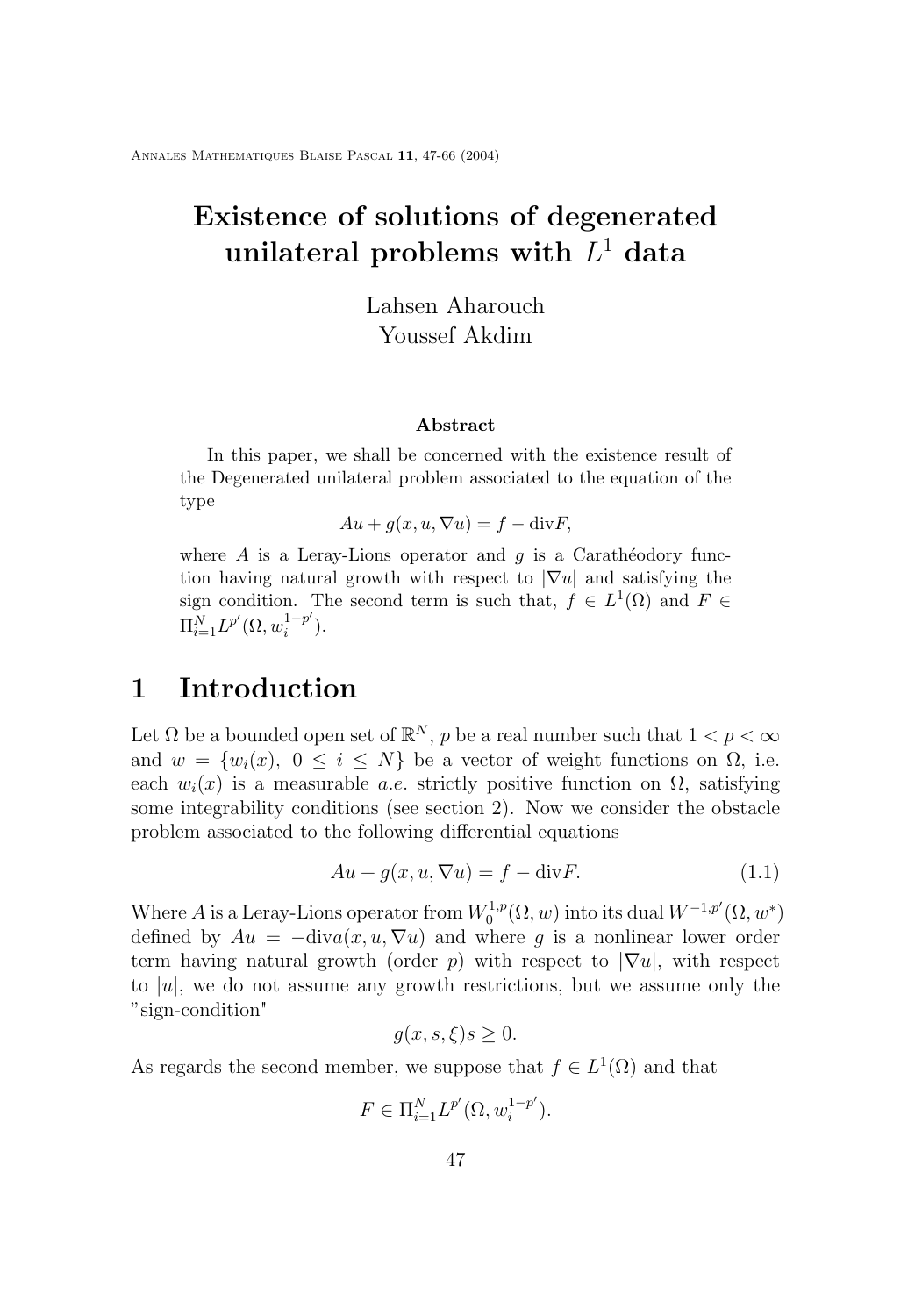# <span id="page-1-0"></span>**Existence of solutions of degenerated**  $\boldsymbol{\mathrm{unilateral}}$  problems with  $L^1$  data

Lahsen Aharouch Youssef Akdim

#### **Abstract**

In this paper, we shall be concerned with the existence result of the Degenerated unilateral problem associated to the equation of the type

$$
Au + g(x, u, \nabla u) = f - \text{div} F,
$$

where  $A$  is a Leray-Lions operator and  $q$  is a Carathéodory function having natural growth with respect to  $|\nabla u|$  and satisfying the sign condition. The second term is such that,  $f \in L^1(\Omega)$  and  $F \in$  $\Pi_{i=1}^N L^{p'}(\Omega, w_i^{1-p'}$  $i^{-p}$ ).

### **1 Introduction**

Let  $\Omega$  be a bounded open set of  $\mathbb{R}^N$ , p be a real number such that  $1 < p < \infty$ and  $w = \{w_i(x), 0 \le i \le N\}$  be a vector of weight functions on  $\Omega$ , i.e. each  $w_i(x)$  is a measurable *a.e.* strictly positive function on  $\Omega$ , satisfying some integrability conditions (see section 2). Now we consider the obstacle problem associated to the following differential equations

$$
Au + g(x, u, \nabla u) = f - \text{div}F.
$$
\n(1.1)

Where A is a Leray-Lions operator from  $W_0^{1,p}(\Omega,w)$  into its dual  $W^{-1,p'}(\Omega,w^*)$ defined by  $Au = -\text{div}a(x, u, \nabla u)$  and where g is a nonlinear lower order term having natural growth (order p) with respect to  $|\nabla u|$ , with respect to  $|u|$ , we do not assume any growth restrictions, but we assume only the "sign-condition"

$$
g(x, s, \xi)s \ge 0.
$$

As regards the second member, we suppose that  $f \in L^1(\Omega)$  and that

$$
F \in \Pi_{i=1}^{N} L^{p'}(\Omega, w_i^{1-p'}).
$$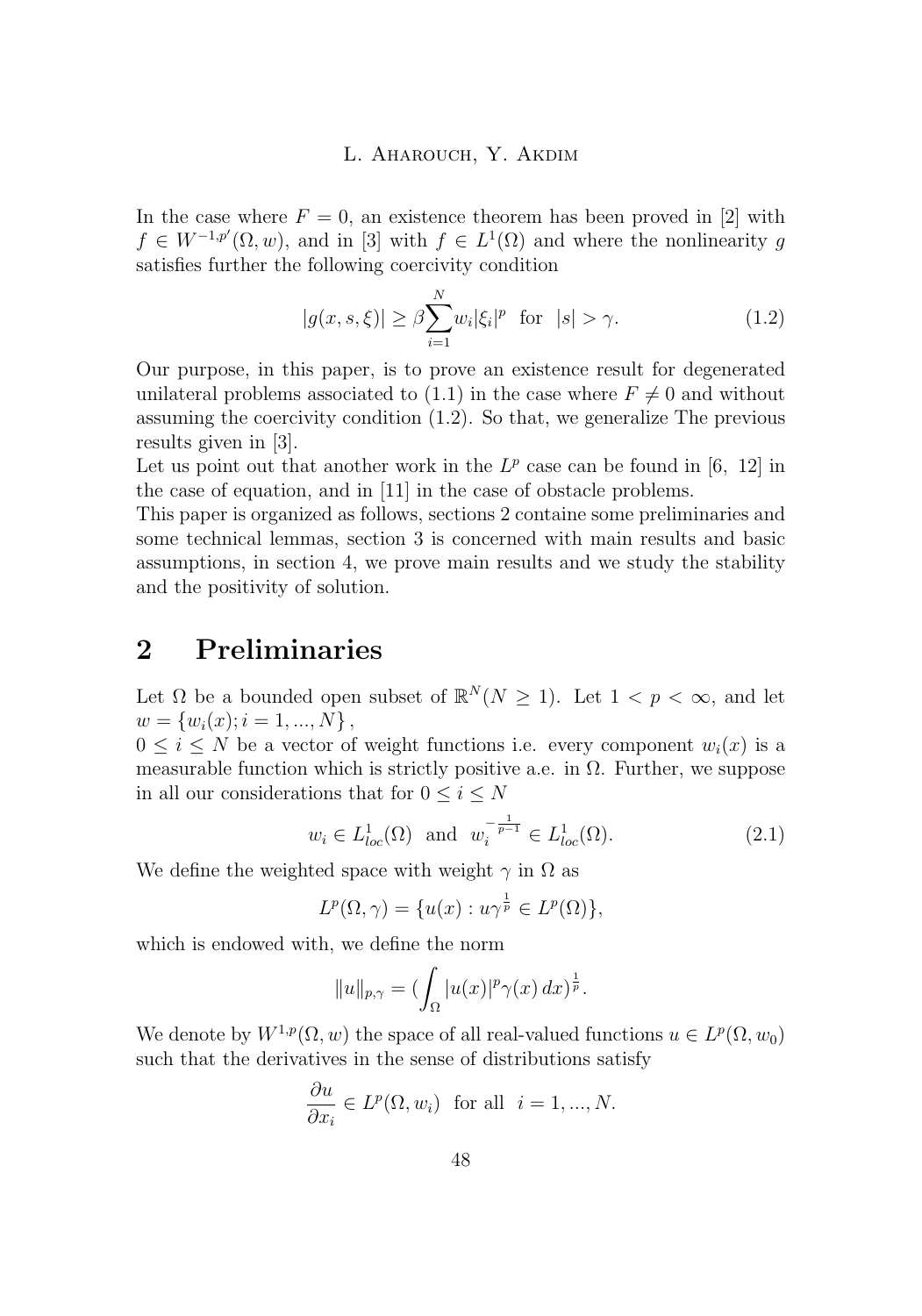In the case where  $F = 0$ , an existence theorem has been proved in [\[2\]](#page-19-0) with  $f \in W^{-1,p'}(\Omega,w)$ , and in [\[3\]](#page-19-0) with  $f \in L^1(\Omega)$  and where the nonlinearity g satisfies further the following coercivity condition

$$
|g(x,s,\xi)| \ge \beta \sum_{i=1}^{N} w_i |\xi_i|^p \quad \text{for} \quad |s| > \gamma. \tag{1.2}
$$

Our purpose, in this paper, is to prove an existence result for degenerated unilateral problems associated to [\(1](#page-1-0).1) in the case where  $F \neq 0$  and without assuming the coercivity condition (1.2). So that, we generalize The previous results given in [\[3\]](#page-19-0).

Let us point out that another work in the  $L^p$  case can be found in [[6](#page-19-0), [12](#page-20-0)] in the case of equation, and in [[11](#page-20-0)] in the case of obstacle problems.

This paper is organized as follows, sections 2 containe some preliminaries and some technical lemmas, section 3 is concerned with main results and basic assumptions, in section 4, we prove main results and we study the stability and the positivity of solution.

# **2 Preliminaries**

Let  $\Omega$  be a bounded open subset of  $\mathbb{R}^N(N \geq 1)$ . Let  $1 < p < \infty$ , and let  $w = \{w_i(x); i = 1, ..., N\},\$ 

 $0 \leq i \leq N$  be a vector of weight functions i.e. every component  $w_i(x)$  is a measurable function which is strictly positive a.e. in  $\Omega$ . Further, we suppose in all our considerations that for  $0\leq i\leq N$ 

$$
w_i \in L^1_{loc}(\Omega)
$$
 and  $w_i^{-\frac{1}{p-1}} \in L^1_{loc}(\Omega)$ . (2.1)

We define the weighted space with weight  $\gamma$  in  $\Omega$  as

$$
L^p(\Omega, \gamma) = \{ u(x) : u\gamma^{\frac{1}{p}} \in L^p(\Omega) \},
$$

which is endowed with, we define the norm

$$
||u||_{p,\gamma} = (\int_{\Omega} |u(x)|^p \gamma(x) dx)^{\frac{1}{p}}.
$$

We denote by  $W^{1,p}(\Omega, w)$  the space of all real-valued functions  $u \in L^p(\Omega, w_0)$ such that the derivatives in the sense of distributions satisfy

$$
\frac{\partial u}{\partial x_i} \in L^p(\Omega, w_i) \text{ for all } i = 1, ..., N.
$$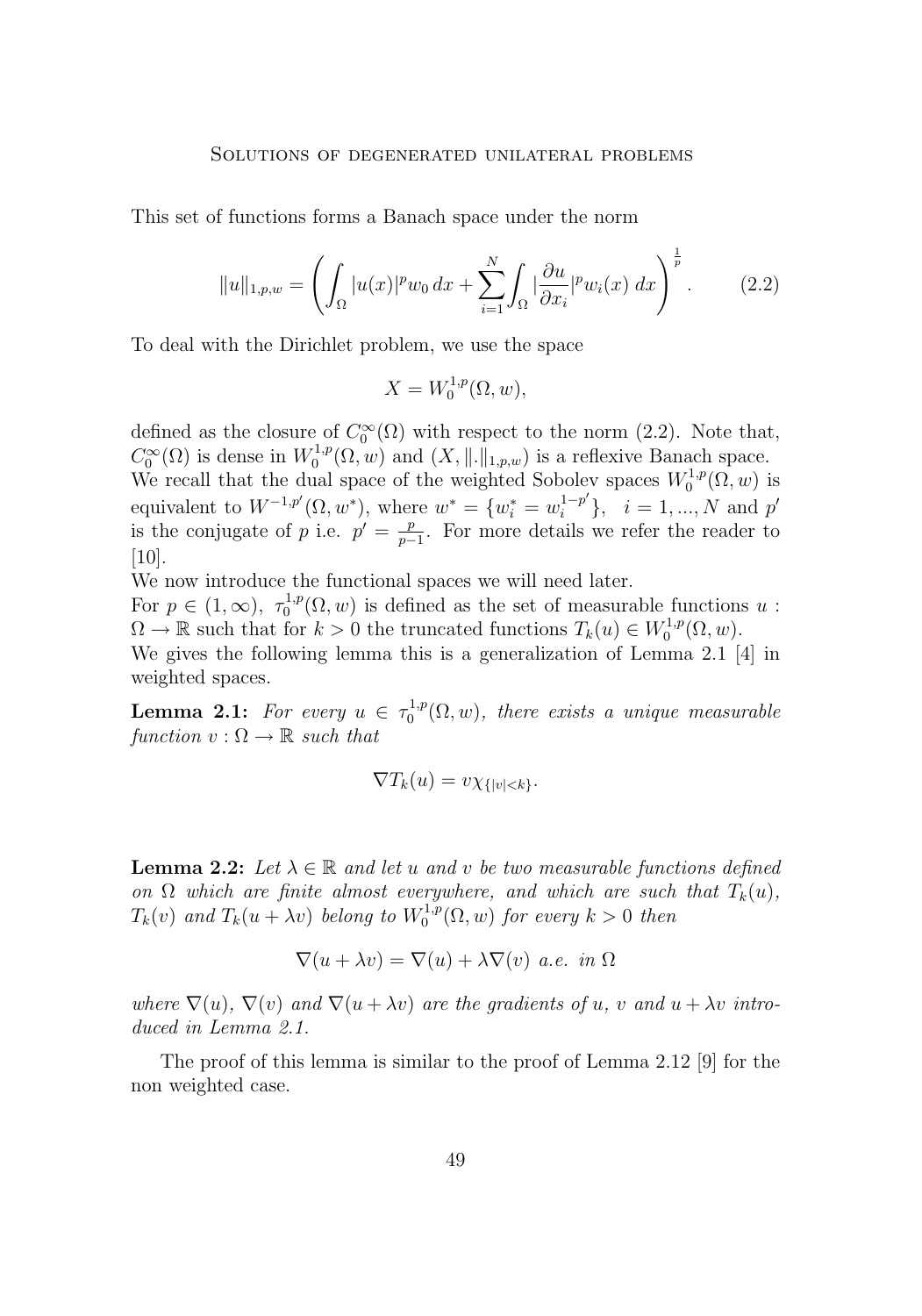<span id="page-3-0"></span>This set of functions forms a Banach space under the norm

$$
||u||_{1,p,w} = \left(\int_{\Omega} |u(x)|^p w_0 \, dx + \sum_{i=1}^N \int_{\Omega} |\frac{\partial u}{\partial x_i}|^p w_i(x) \, dx\right)^{\frac{1}{p}}.
$$
 (2.2)

To deal with the Dirichlet problem, we use the space

$$
X = W_0^{1,p}(\Omega, w),
$$

defined as the closure of  $C_0^{\infty}(\Omega)$  with respect to the norm (2.2). Note that,  $C_0^{\infty}(\Omega)$  is dense in  $W_0^{1,p}(\Omega,w)$  and  $(X, \|\. \|_{1,p,w})$  is a reflexive Banach space. We recall that the dual space of the weighted Sobolev spaces  $W_0^{1,p}(\Omega, w)$  is equivalent to  $W^{-1,p'}(\Omega, w^*)$ , where  $w^* = \{w_i^* = w_i^{1-p'}\}, \quad i = 1, ..., N$  and  $p'$ is the conjugate of p i.e.  $p' = \frac{p}{p-1}$  $\frac{p}{p-1}$ . For more details we refer the reader to

We now introduce the functional spaces we will need later.

[\[10\]](#page-19-0).

For  $p \in (1,\infty)$ ,  $\tau_0^{1,p}(\Omega,w)$  is defined as the set of measurable functions u:  $\Omega \to \mathbb{R}$  such that for  $k > 0$  the truncated functions  $T_k(u) \in W_0^{1,p}(\Omega, w)$ .

We gives the following lemma this is a generalization of Lemma 2.1 [\[4\]](#page-19-0) in weighted spaces.

**Lemma 2.1:** For every  $u \in \tau_0^{1,p}(\Omega, w)$ , there exists a unique measurable *function*  $v : \Omega \to \mathbb{R}$  *such that* 

$$
\nabla T_k(u) = v \chi_{\{|v| < k\}}.
$$

**Lemma 2.2:** Let  $\lambda \in \mathbb{R}$  and let u and v be two measurable functions defined *on*  $\Omega$  *which are finite almost everywhere, and which are such that*  $T_k(u)$ ,  $T_k(v)$  and  $T_k(u + \lambda v)$  belong to  $W_0^{1,p}(\Omega, w)$  for every  $k > 0$  then

$$
\nabla(u + \lambda v) = \nabla(u) + \lambda \nabla(v) \ a.e. \ in \ \Omega
$$

*where*  $\nabla(u)$ ,  $\nabla(v)$  *and*  $\nabla(u + \lambda v)$  *are the gradients of* u, v *and*  $u + \lambda v$  *introduced in Lemma 2.1.*

The proof of this lemma is similar to the proof of Lemma 2.12 [\[9\]](#page-19-0) for the non weighted case.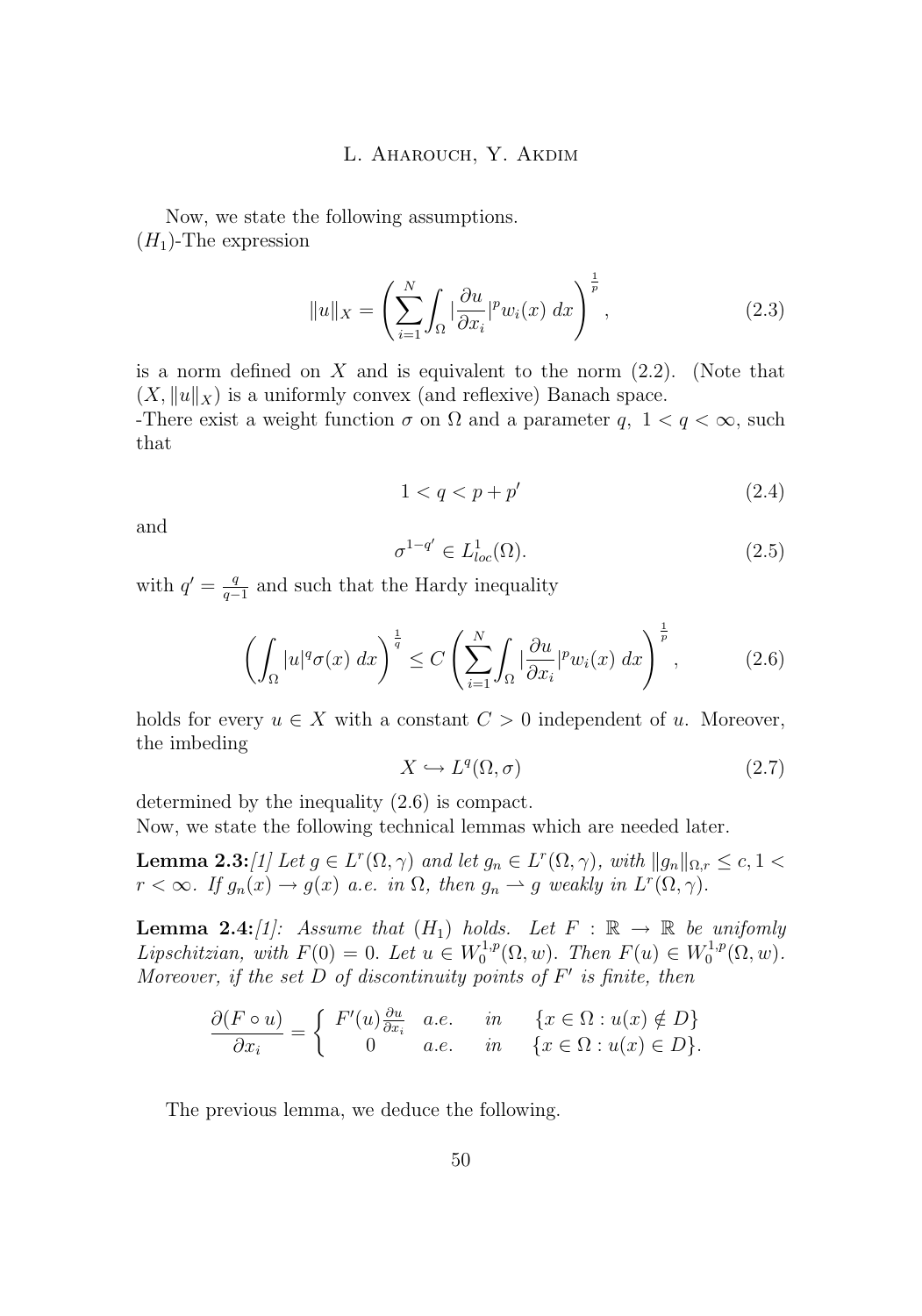Now, we state the following assumptions.  $(H_1)$ -The expression

$$
||u||_X = \left(\sum_{i=1}^N \int_{\Omega} |\frac{\partial u}{\partial x_i}|^p w_i(x) \, dx\right)^{\frac{1}{p}},\tag{2.3}
$$

is a norm defined on  $X$  and is equivalent to the norm  $(2.2)$  $(2.2)$ . (Note that  $(X, \|u\|_X)$  is a uniformly convex (and reflexive) Banach space.

-There exist a weight function  $\sigma$  on  $\Omega$  and a parameter q,  $1 < q < \infty$ , such that

$$
1 < q < p + p' \tag{2.4}
$$

and

$$
\sigma^{1-q'} \in L^1_{loc}(\Omega). \tag{2.5}
$$

with  $q' = \frac{q}{q}$  $\frac{q}{q-1}$  and such that the Hardy inequality

$$
\left(\int_{\Omega} |u|^q \sigma(x) \, dx\right)^{\frac{1}{q}} \le C \left(\sum_{i=1}^N \int_{\Omega} |\frac{\partial u}{\partial x_i}|^p w_i(x) \, dx\right)^{\frac{1}{p}},\tag{2.6}
$$

holds for every  $u \in X$  with a constant  $C > 0$  independent of u. Moreover, the imbeding

$$
X \hookrightarrow L^q(\Omega, \sigma) \tag{2.7}
$$

determined by the inequality (2.6) is compact.

Now, we state the following technical lemmas which are needed later.

**Lemma 2.3:***[\[1\]](#page-19-0)* Let  $g \in L^r(\Omega, \gamma)$  and let  $g_n \in L^r(\Omega, \gamma)$ , with  $||g_n||_{\Omega, r} \le c, 1 <$  $r < \infty$ . If  $g_n(x) \to g(x)$  a.e. in  $\Omega$ , then  $g_n \to g$  weakly in  $L^r(\Omega, \gamma)$ .

**Lemma 2.4:***[\[1\]](#page-19-0):* Assume that  $(H_1)$  holds. Let  $F : \mathbb{R} \to \mathbb{R}$  be unifomly *Lipschitzian, with*  $F(0) = 0$ . *Let*  $u \in W_0^{1,p}(\Omega, w)$ . *Then*  $F(u) \in W_0^{1,p}(\Omega, w)$ . *Moreover, if the set* D *of discontinuity points of* F 0 *is finite, then*

$$
\frac{\partial (F \circ u)}{\partial x_i} = \begin{cases} F'(u) \frac{\partial u}{\partial x_i} & a.e. & in & \{x \in \Omega : u(x) \notin D\} \\ 0 & a.e. & in & \{x \in \Omega : u(x) \in D\}. \end{cases}
$$

The previous lemma, we deduce the following.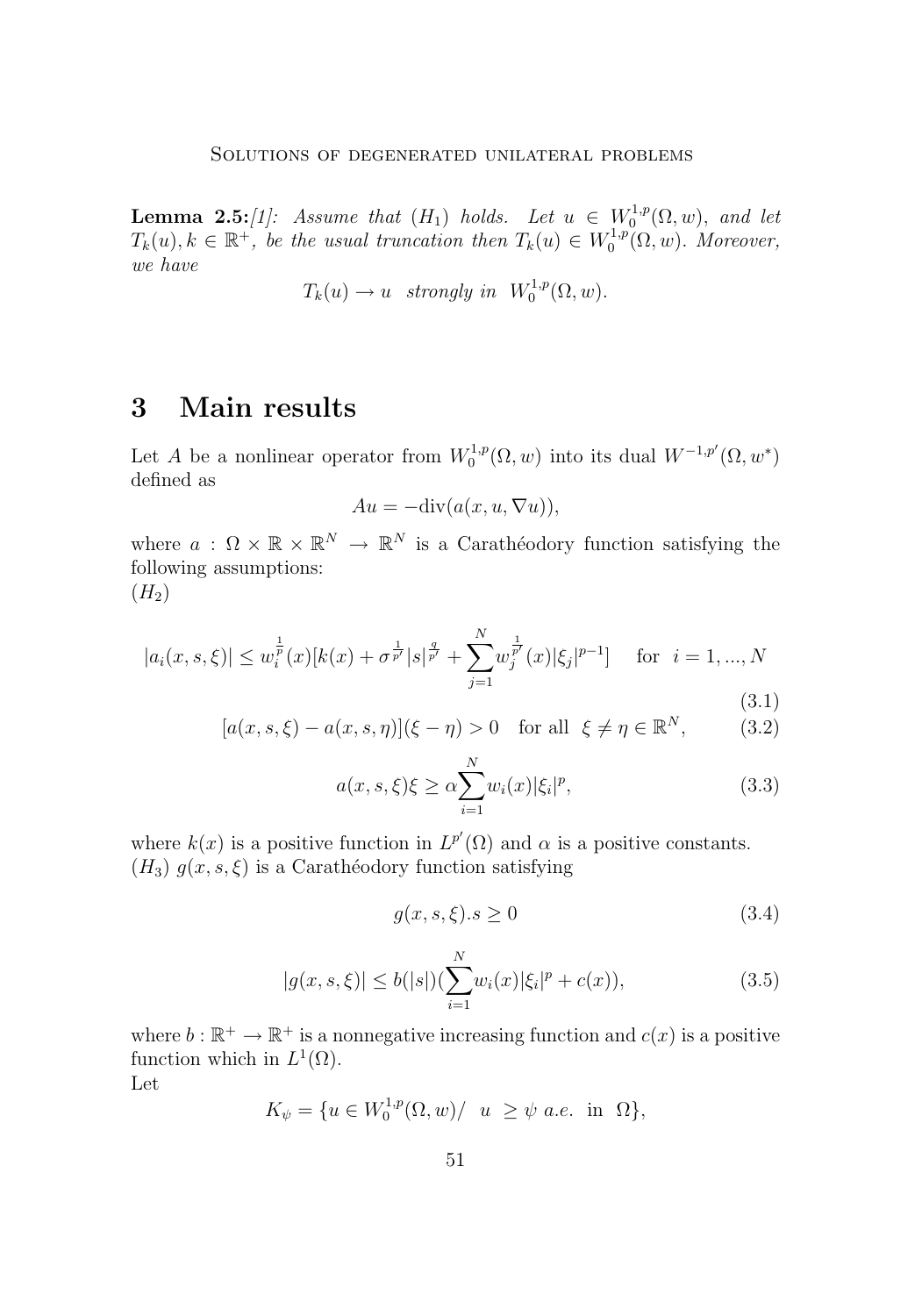<span id="page-5-0"></span>**Lemma 2.5:***[\[1\]](#page-19-0):* Assume that  $(H_1)$  holds. Let  $u \in W_0^{1,p}(\Omega, w)$ , and let  $T_k(u), k \in \mathbb{R}^+$ , be the usual truncation then  $T_k(u) \in W_0^{1,p}(\Omega, w)$ . Moreover, *we have*

$$
T_k(u) \to u
$$
 strongly in  $W_0^{1,p}(\Omega, w)$ .

# **3 Main results**

Let A be a nonlinear operator from  $W_0^{1,p}(\Omega, w)$  into its dual  $W^{-1,p'}(\Omega, w^*)$ defined as

$$
Au = -\text{div}(a(x, u, \nabla u)),
$$

where  $a: \Omega \times \mathbb{R} \times \mathbb{R}^N \to \mathbb{R}^N$  is a Carathéodory function satisfying the following assumptions:  $(H_2)$ 

$$
|a_i(x, s, \xi)| \le w_i^{\frac{1}{p}}(x)[k(x) + \sigma^{\frac{1}{p'}}|s|^{\frac{q}{p'}} + \sum_{j=1}^N w_j^{\frac{1}{p'}}(x)[\xi_j]^{p-1}] \text{ for } i = 1, ..., N
$$
\n(3.1)

$$
[a(x, s, \xi) - a(x, s, \eta)](\xi - \eta) > 0 \quad \text{for all} \quad \xi \neq \eta \in \mathbb{R}^N,\tag{3.2}
$$

$$
a(x, s, \xi)\xi \ge \alpha \sum_{i=1}^{N} w_i(x) |\xi_i|^p, \tag{3.3}
$$

where  $k(x)$  is a positive function in  $L^{p'}(\Omega)$  and  $\alpha$  is a positive constants.  $(H_3)$   $g(x, s, \xi)$  is a Carathéodory function satisfying

$$
g(x, s, \xi).s \ge 0 \tag{3.4}
$$

$$
|g(x, s, \xi)| \le b(|s|) \left(\sum_{i=1}^{N} w_i(x) |\xi_i|^p + c(x)\right),\tag{3.5}
$$

where  $b : \mathbb{R}^+ \to \mathbb{R}^+$  is a nonnegative increasing function and  $c(x)$  is a positive function which in  $L^1(\Omega)$ .

Let

$$
K_{\psi} = \{ u \in W_0^{1,p}(\Omega, w) / \ u \ge \psi \ a.e. \ in \ \Omega \},\
$$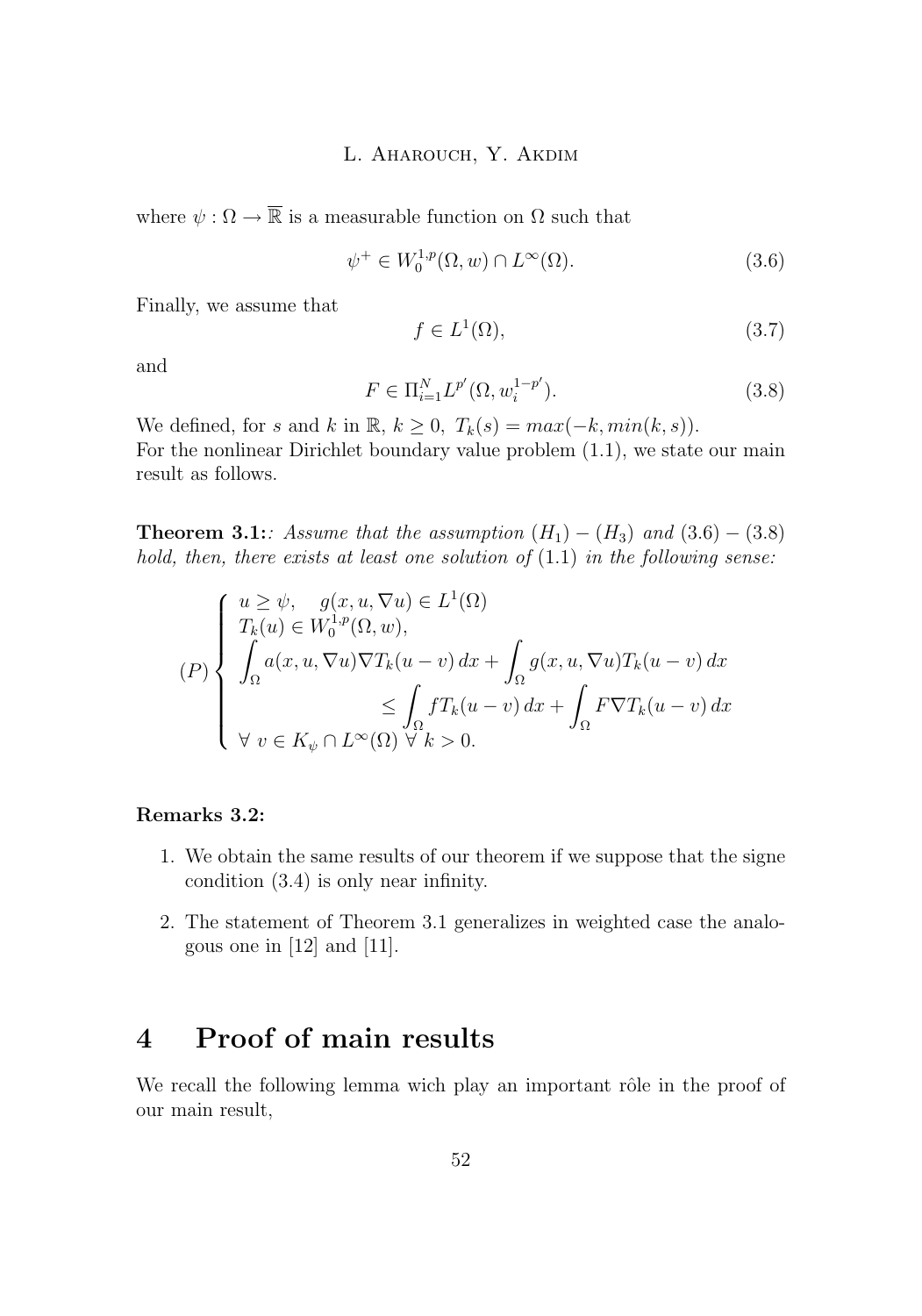<span id="page-6-0"></span>where  $\psi : \Omega \to \overline{\mathbb{R}}$  is a measurable function on  $\Omega$  such that

$$
\psi^+ \in W_0^{1,p}(\Omega, w) \cap L^\infty(\Omega). \tag{3.6}
$$

Finally, we assume that

$$
f \in L^1(\Omega),\tag{3.7}
$$

and

$$
F \in \Pi_{i=1}^{N} L^{p'}(\Omega, w_i^{1-p'}).
$$
\n(3.8)

We defined, for s and k in R,  $k \geq 0$ ,  $T_k(s) = max(-k, min(k, s))$ . For the nonlinear Dirichlet boundary value problem [\(1](#page-1-0).1), we state our main result as follows.

**Theorem 3.1:***:* Assume that the assumption  $(H_1) - (H_3)$  and  $(3.6) - (3.8)$ *hold, then, there exists at least one solution of* (1.[1\)](#page-1-0) *in the following sense:*

$$
(P)\begin{cases} u \geq \psi, \quad g(x, u, \nabla u) \in L^1(\Omega) \\ T_k(u) \in W_0^{1,p}(\Omega, w), \\ \int_{\Omega} a(x, u, \nabla u) \nabla T_k(u - v) \, dx + \int_{\Omega} g(x, u, \nabla u) T_k(u - v) \, dx \\ \leq \int_{\Omega} f T_k(u - v) \, dx + \int_{\Omega} F \nabla T_k(u - v) \, dx \\ \forall \ v \in K_{\psi} \cap L^{\infty}(\Omega) \quad \forall \ k > 0. \end{cases}
$$

#### **Remarks 3.2:**

- 1. We obtain the same results of our theorem if we suppose that the signe condition [\(3](#page-5-0).4) is only near infinity.
- 2. The statement of Theorem 3.1 generalizes in weighted case the analogous one in [\[12\]](#page-20-0) and [\[11\]](#page-20-0).

# **4 Proof of main results**

We recall the following lemma wich play an important rôle in the proof of our main result,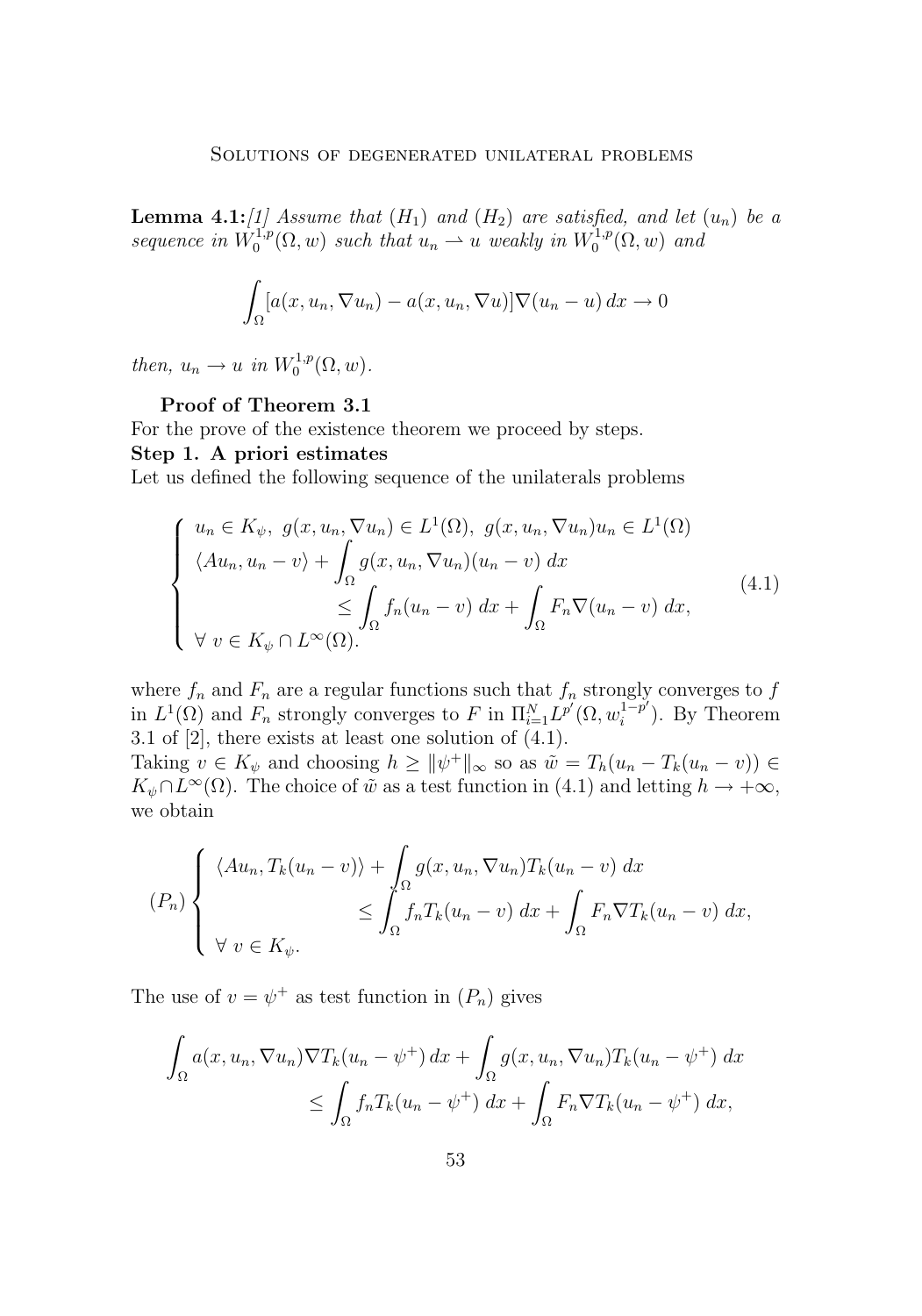**Lemma 4.1:***[\[1\]](#page-19-0)* Assume that  $(H_1)$  and  $(H_2)$  are satisfied, and let  $(u_n)$  be a *sequence in*  $W_0^{1,p}(\Omega, w)$  *such that*  $u_n \rightharpoonup u$  *weakly in*  $W_0^{1,p}(\Omega, w)$  *and* 

$$
\int_{\Omega} [a(x, u_n, \nabla u_n) - a(x, u_n, \nabla u)] \nabla (u_n - u) \, dx \to 0
$$

*then,*  $u_n \to u$  *in*  $W_0^{1,p}(\Omega, w)$ *.* 

#### **Proof of Theorem 3.1**

For the prove of the existence theorem we proceed by steps.

#### **Step 1. A priori estimates**

Let us defined the following sequence of the unilaterals problems

$$
\begin{cases}\n u_n \in K_{\psi}, \ g(x, u_n, \nabla u_n) \in L^1(\Omega), \ g(x, u_n, \nabla u_n) u_n \in L^1(\Omega) \\
\langle Au_n, u_n - v \rangle + \int_{\Omega} g(x, u_n, \nabla u_n) (u_n - v) \ dx \\
\leq \int_{\Omega} f_n (u_n - v) \ dx + \int_{\Omega} F_n \nabla (u_n - v) \ dx, \\
\forall \ v \in K_{\psi} \cap L^{\infty}(\Omega).\n\end{cases} \tag{4.1}
$$

where  $f_n$  and  $F_n$  are a regular functions such that  $f_n$  strongly converges to  $f$ in  $L^1(\Omega)$  and  $F_n$  strongly converges to F in  $\Pi_{i=1}^N L^{p'}(\Omega, w_i^{1-p''} )$  $i^{1-p'}$ ). By Theorem 3.1 of [\[2\]](#page-19-0), there exists at least one solution of (4.1).

Taking  $v \in K_{\psi}$  and choosing  $h \geq ||\psi^+||_{\infty}$  so as  $\tilde{w} = T_h(u_n - T_k(u_n - v)) \in$  $K_{\psi} \cap L^{\infty}(\Omega)$ . The choice of  $\tilde{w}$  as a test function in (4.1) and letting  $h \to +\infty$ , we obtain

$$
(P_n)\begin{cases} \langle Au_n, T_k(u_n - v) \rangle + \int_{\Omega} g(x, u_n, \nabla u_n) T_k(u_n - v) \, dx \\ \leq \int_{\Omega} f_n T_k(u_n - v) \, dx + \int_{\Omega} F_n \nabla T_k(u_n - v) \, dx, \\ \forall \, v \in K_{\psi}. \end{cases}
$$

The use of  $v = \psi^+$  as test function in  $(P_n)$  gives

$$
\int_{\Omega} a(x, u_n, \nabla u_n) \nabla T_k(u_n - \psi^+) dx + \int_{\Omega} g(x, u_n, \nabla u_n) T_k(u_n - \psi^+) dx
$$
  

$$
\leq \int_{\Omega} f_n T_k(u_n - \psi^+) dx + \int_{\Omega} F_n \nabla T_k(u_n - \psi^+) dx,
$$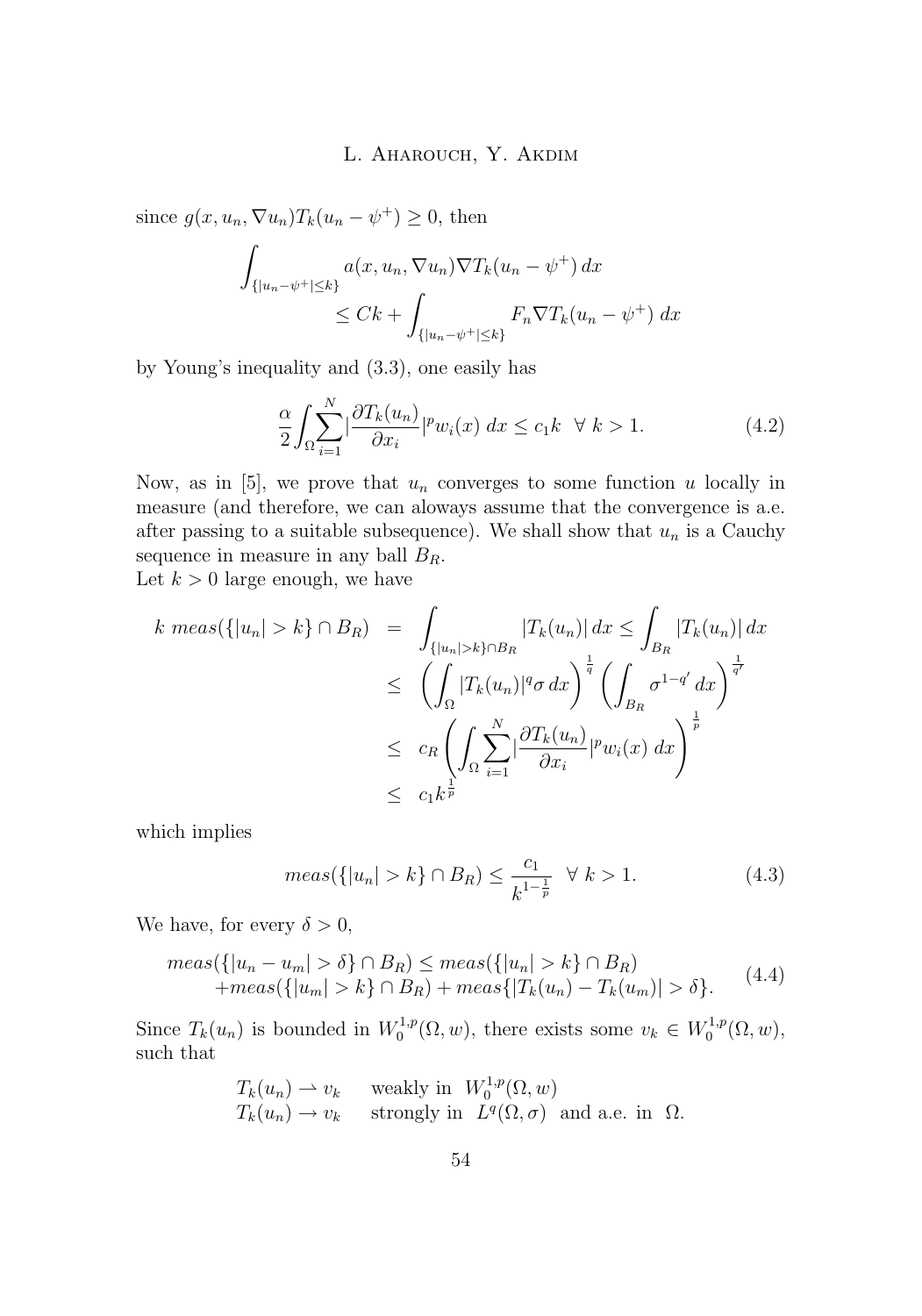<span id="page-8-0"></span>since  $g(x, u_n, \nabla u_n) T_k(u_n - \psi^+) \geq 0$ , then

$$
\int_{\{|u_n-\psi^+|\leq k\}} a(x, u_n, \nabla u_n) \nabla T_k(u_n - \psi^+) dx
$$
  
\n
$$
\leq Ck + \int_{\{|u_n-\psi^+|\leq k\}} F_n \nabla T_k(u_n - \psi^+) dx
$$

by Young's inequality and (3.[3\)](#page-5-0), one easily has

$$
\frac{\alpha}{2} \int_{\Omega} \sum_{i=1}^{N} \left| \frac{\partial T_k(u_n)}{\partial x_i} \right| \left| \nu_{i}(x) \right| dx \le c_1 k \quad \forall \ k > 1. \tag{4.2}
$$

Now, as in [\[5\]](#page-19-0), we prove that  $u_n$  converges to some function u locally in measure (and therefore, we can aloways assume that the convergence is a.e. after passing to a suitable subsequence). We shall show that  $u_n$  is a Cauchy sequence in measure in any ball  $B_R$ .

Let  $k > 0$  large enough, we have

$$
k \ meas(\{|u_n| > k\} \cap B_R) = \int_{\{|u_n| > k\} \cap B_R} |T_k(u_n)| dx \le \int_{B_R} |T_k(u_n)| dx
$$
  
\n
$$
\le \left( \int_{\Omega} |T_k(u_n)|^q \sigma dx \right)^{\frac{1}{q}} \left( \int_{B_R} \sigma^{1-q'} dx \right)^{\frac{1}{q'}}
$$
  
\n
$$
\le c_R \left( \int_{\Omega} \sum_{i=1}^N |\frac{\partial T_k(u_n)}{\partial x_i}|^p w_i(x) dx \right)^{\frac{1}{p}}
$$
  
\n
$$
\le c_1 k^{\frac{1}{p}}
$$

which implies

$$
meas({\{|u_n| > k\}} \cap B_R) \le \frac{c_1}{k^{1 - \frac{1}{p}}} \quad \forall \ k > 1.
$$
\n(4.3)

We have, for every  $\delta > 0$ ,

$$
meas({\{|u_n - u_m| > \delta\} \cap B_R) \le meas({\{|u_n| > k\} \cap B_R}) + meas({\{|u_m| > k\} \cap B_R) + meas({|T_k(u_n) - T_k(u_m)| > \delta}).
$$
 (4.4)

Since  $T_k(u_n)$  is bounded in  $W_0^{1,p}(\Omega,w)$ , there exists some  $v_k \in W_0^{1,p}(\Omega,w)$ , such that

$$
T_k(u_n) \to v_k \quad \text{ weakly in } W_0^{1,p}(\Omega, w)
$$
  

$$
T_k(u_n) \to v_k \quad \text{ strongly in } L^q(\Omega, \sigma) \text{ and a.e. in } \Omega.
$$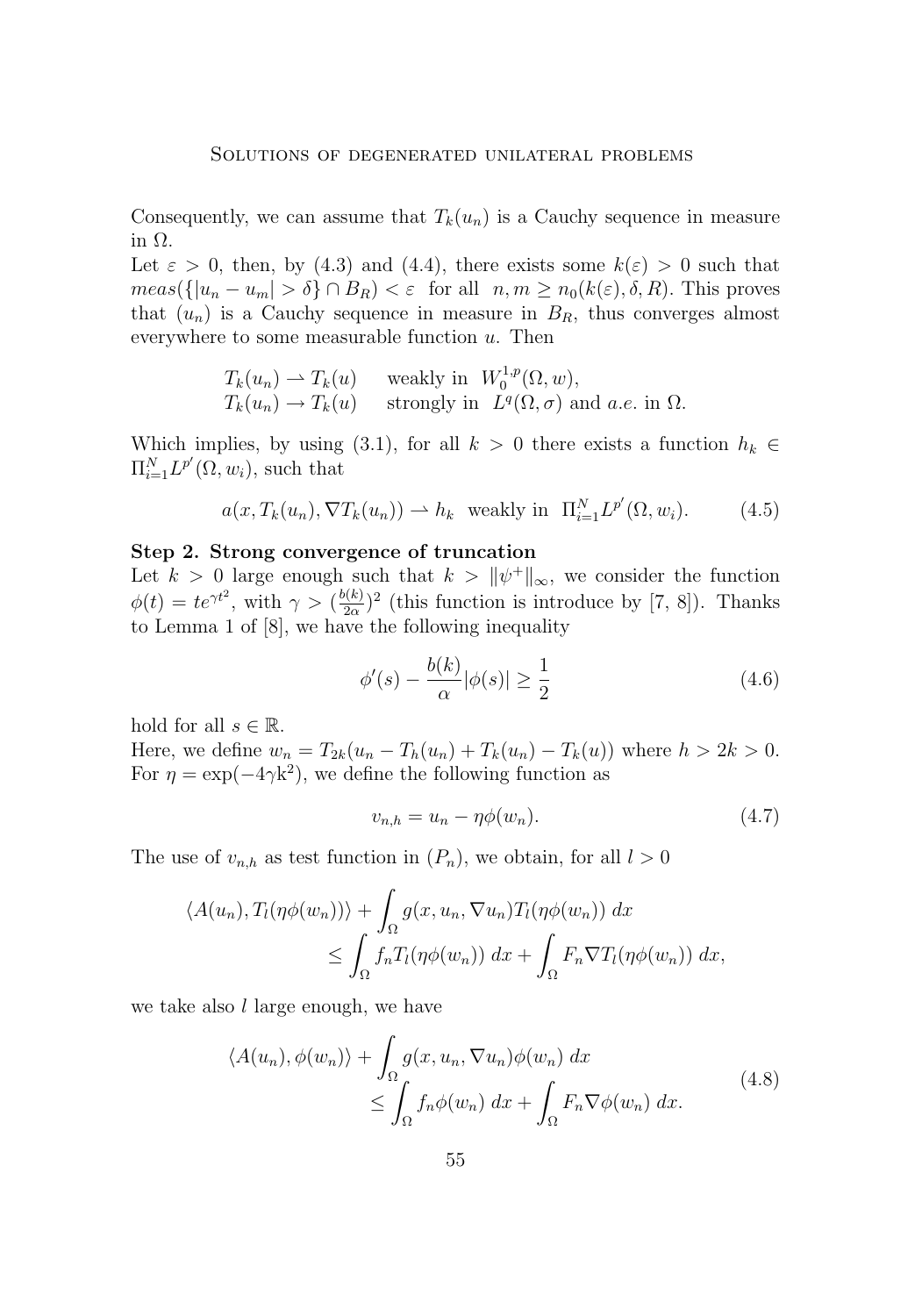<span id="page-9-0"></span>Consequently, we can assume that  $T_k(u_n)$  is a Cauchy sequence in measure in Ω.

Let  $\varepsilon > 0$ , then, by [\(4](#page-8-0).3) and (4.[4\)](#page-8-0), there exists some  $k(\varepsilon) > 0$  such that  $meas({|u_n - u_m| > \delta} \cap B_R) < \varepsilon$  for all  $n, m \ge n_0(k(\varepsilon), \delta, R)$ . This proves that  $(u_n)$  is a Cauchy sequence in measure in  $B_R$ , thus converges almost everywhere to some measurable function  $u$ . Then

$$
T_k(u_n) \rightharpoonup T_k(u) \quad \text{ weakly in } W_0^{1,p}(\Omega, w),
$$
  
\n
$$
T_k(u_n) \rightharpoonup T_k(u) \quad \text{ strongly in } L^q(\Omega, \sigma) \text{ and a.e. in } \Omega.
$$

Which implies, by using [\(3](#page-5-0).1), for all  $k > 0$  there exists a function  $h_k \in$  $\Pi_{i=1}^N L^{p'}(\Omega, w_i)$ , such that

$$
a(x, T_k(u_n), \nabla T_k(u_n)) \rightharpoonup h_k \text{ weakly in } \Pi_{i=1}^N L^{p'}(\Omega, w_i). \tag{4.5}
$$

#### **Step 2. Strong convergence of truncation**

Let  $k > 0$  large enough such that  $k > ||\psi^+||_{\infty}$ , we consider the function  $\phi(t) = te^{\gamma t^2}$ , with  $\gamma > (\frac{b(k)}{2\alpha})$  $\frac{2\alpha}{2\alpha}$ <sup>2</sup> (this function is introduce by [\[7,](#page-19-0) [8\]](#page-19-0)). Thanks to Lemma 1 of [\[8\]](#page-19-0), we have the following inequality

$$
\phi'(s) - \frac{b(k)}{\alpha} |\phi(s)| \ge \frac{1}{2} \tag{4.6}
$$

hold for all  $s \in \mathbb{R}$ .

Here, we define  $w_n = T_{2k}(u_n - T_h(u_n) + T_k(u_n) - T_k(u))$  where  $h > 2k > 0$ . For  $\eta = \exp(-4\gamma k^2)$ , we define the following function as

$$
v_{n,h} = u_n - \eta \phi(w_n). \tag{4.7}
$$

The use of  $v_{n,h}$  as test function in  $(P_n)$ , we obtain, for all  $l > 0$ 

$$
\langle A(u_n), T_l(\eta \phi(w_n)) \rangle + \int_{\Omega} g(x, u_n, \nabla u_n) T_l(\eta \phi(w_n)) dx
$$
  

$$
\leq \int_{\Omega} f_n T_l(\eta \phi(w_n)) dx + \int_{\Omega} F_n \nabla T_l(\eta \phi(w_n)) dx,
$$

we take also  $l$  large enough, we have

$$
\langle A(u_n), \phi(w_n) \rangle + \int_{\Omega} g(x, u_n, \nabla u_n) \phi(w_n) dx
$$
  
 
$$
\leq \int_{\Omega} f_n \phi(w_n) dx + \int_{\Omega} F_n \nabla \phi(w_n) dx.
$$
 (4.8)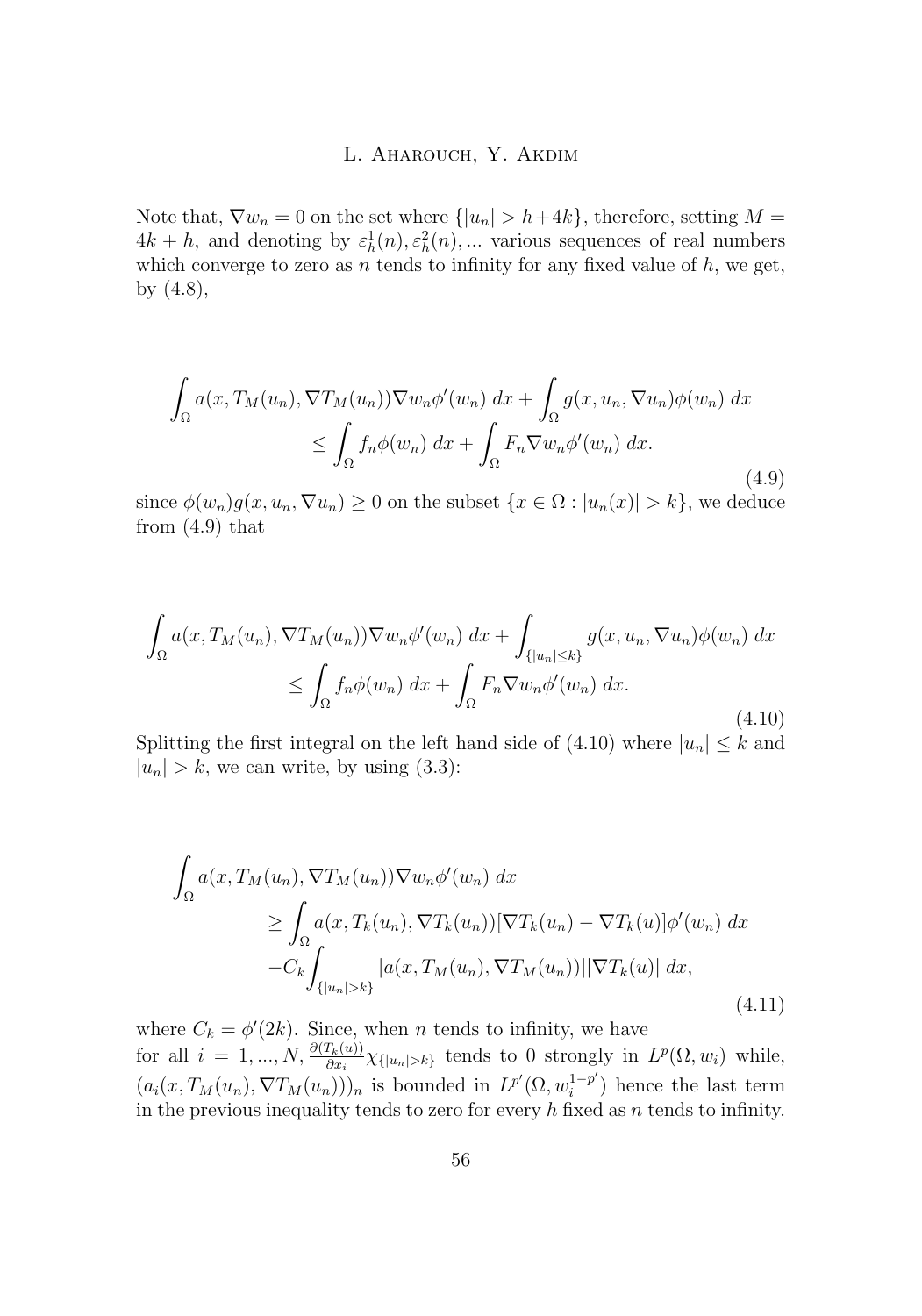<span id="page-10-0"></span>Note that,  $\nabla w_n = 0$  on the set where  $\{|u_n| > h + 4k\}$ , therefore, setting  $M =$  $4k + h$ , and denoting by  $\varepsilon_h^1(n), \varepsilon_h^2(n), \dots$  various sequences of real numbers which converge to zero as n tends to infinity for any fixed value of  $h$ , we get, by [\(4](#page-9-0).8),

$$
\int_{\Omega} a(x, T_M(u_n), \nabla T_M(u_n)) \nabla w_n \phi'(w_n) dx + \int_{\Omega} g(x, u_n, \nabla u_n) \phi(w_n) dx
$$
  
\n
$$
\leq \int_{\Omega} f_n \phi(w_n) dx + \int_{\Omega} F_n \nabla w_n \phi'(w_n) dx.
$$
\n(4.9)

since  $\phi(w_n)g(x, u_n, \nabla u_n) \geq 0$  on the subset  $\{x \in \Omega : |u_n(x)| > k\}$ , we deduce from (4.9) that

$$
\int_{\Omega} a(x, T_M(u_n), \nabla T_M(u_n)) \nabla w_n \phi'(w_n) dx + \int_{\{|u_n| \le k\}} g(x, u_n, \nabla u_n) \phi(w_n) dx
$$
  

$$
\le \int_{\Omega} f_n \phi(w_n) dx + \int_{\Omega} F_n \nabla w_n \phi'(w_n) dx.
$$
\n(4.10)

Splitting the first integral on the left hand side of (4.10) where  $|u_n| \leq k$  and  $|u_n| > k$ , we can write, by using [\(3](#page-5-0).3):

$$
\int_{\Omega} a(x, T_M(u_n), \nabla T_M(u_n)) \nabla w_n \phi'(w_n) dx
$$
\n
$$
\geq \int_{\Omega} a(x, T_k(u_n), \nabla T_k(u_n)) [\nabla T_k(u_n) - \nabla T_k(u)] \phi'(w_n) dx
$$
\n
$$
-C_k \int_{\{|u_n| > k\}} |a(x, T_M(u_n), \nabla T_M(u_n))| |\nabla T_k(u)| dx,
$$
\n(4.11)

where  $C_k = \phi'(2k)$ . Since, when *n* tends to infinity, we have for all  $i = 1, ..., N$ ,  $\frac{\partial (T_k(u))}{\partial x_i} \chi_{\{|u_n| > k\}}$  tends to 0 strongly in  $L^p(\Omega, w_i)$  while,  $(a_i(x, T_M(u_n), \nabla T_M(u_n)))_n$  is bounded in  $L^{p'}(\Omega, w_i^{1-p'})$  $i^{1-p'}$ ) hence the last term in the previous inequality tends to zero for every  $h$  fixed as  $n$  tends to infinity.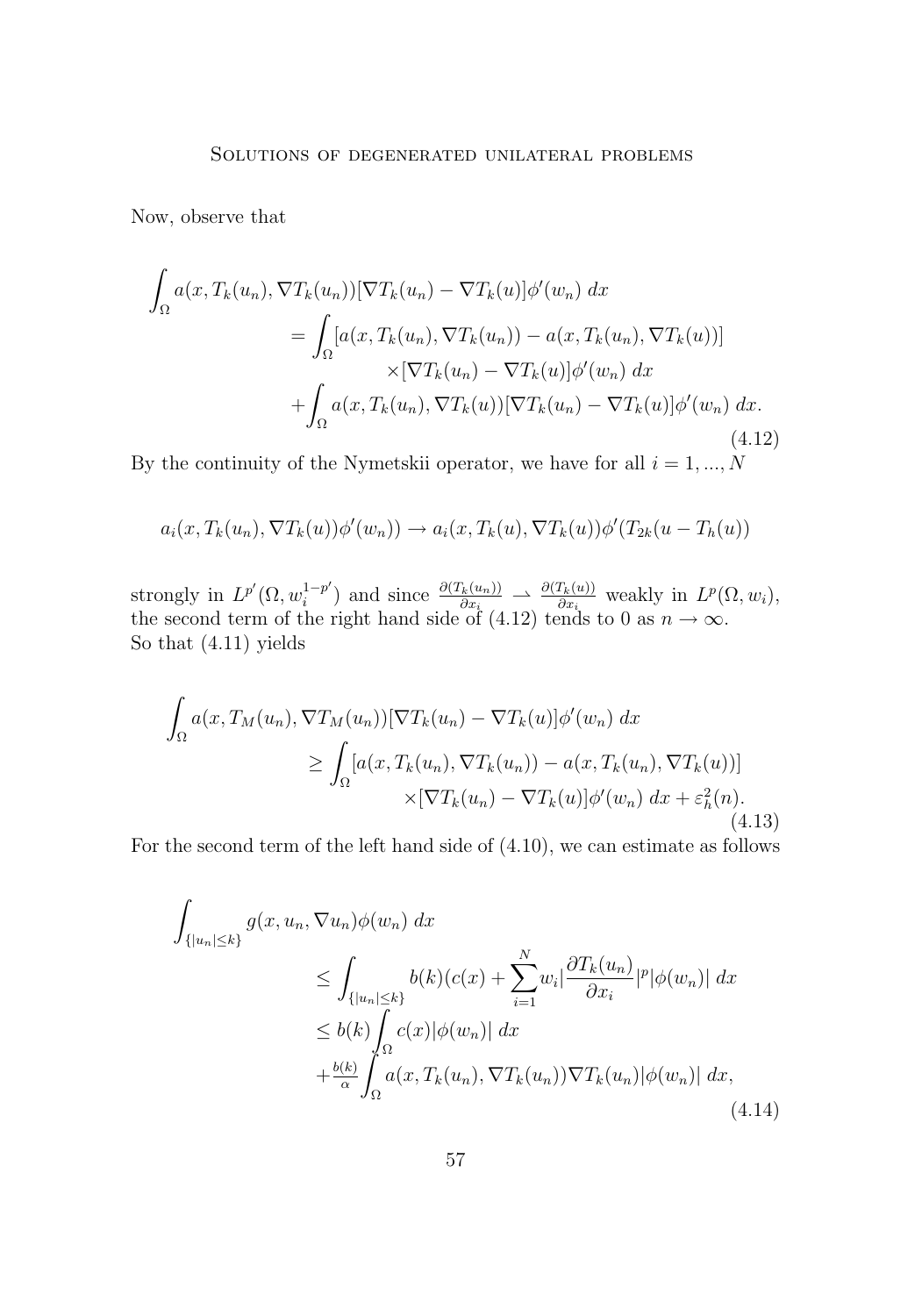<span id="page-11-0"></span>Now, observe that

$$
\int_{\Omega} a(x, T_k(u_n), \nabla T_k(u_n)) [\nabla T_k(u_n) - \nabla T_k(u)] \phi'(w_n) dx
$$
\n
$$
= \int_{\Omega} [a(x, T_k(u_n), \nabla T_k(u_n)) - a(x, T_k(u_n), \nabla T_k(u))]
$$
\n
$$
\times [\nabla T_k(u_n) - \nabla T_k(u)] \phi'(w_n) dx
$$
\n
$$
+ \int_{\Omega} a(x, T_k(u_n), \nabla T_k(u)) [\nabla T_k(u_n) - \nabla T_k(u)] \phi'(w_n) dx.
$$
\n(4.12)

By the continuity of the Nymetskii operator, we have for all  $i = 1, ..., N$ 

$$
a_i(x, T_k(u_n), \nabla T_k(u))\phi'(w_n)) \to a_i(x, T_k(u), \nabla T_k(u))\phi'(T_{2k}(u - T_h(u)))
$$

strongly in  $L^{p'}(\Omega, w_i^{1-p'})$  $\frac{1-p'}{i}$  and since  $\frac{\partial (T_k(u_n))}{\partial x_i} \to \frac{\partial (T_k(u))}{\partial x_i}$  weakly in  $L^p(\Omega, w_i)$ , the second term of the right hand side of (4.12) tends to 0 as  $n \to \infty$ . So that (4.[11\)](#page-10-0) yields

$$
\int_{\Omega} a(x, T_M(u_n), \nabla T_M(u_n)) [\nabla T_k(u_n) - \nabla T_k(u)] \phi'(w_n) dx
$$
\n
$$
\geq \int_{\Omega} [a(x, T_k(u_n), \nabla T_k(u_n)) - a(x, T_k(u_n), \nabla T_k(u))] \times [\nabla T_k(u_n) - \nabla T_k(u)] \phi'(w_n) dx + \varepsilon_h^2(n). \tag{4.13}
$$

For the second term of the left hand side of (4.[10\)](#page-10-0), we can estimate as follows

$$
\int_{\{|u_n| \le k\}} g(x, u_n, \nabla u_n) \phi(w_n) dx
$$
\n
$$
\le \int_{\{|u_n| \le k\}} b(k) (c(x) + \sum_{i=1}^N w_i \left| \frac{\partial T_k(u_n)}{\partial x_i} \right|^{p} |\phi(w_n)| dx
$$
\n
$$
\le b(k) \int_{\Omega} c(x) |\phi(w_n)| dx
$$
\n
$$
+ \frac{b(k)}{\alpha} \int_{\Omega} a(x, T_k(u_n), \nabla T_k(u_n)) \nabla T_k(u_n) |\phi(w_n)| dx,
$$
\n(4.14)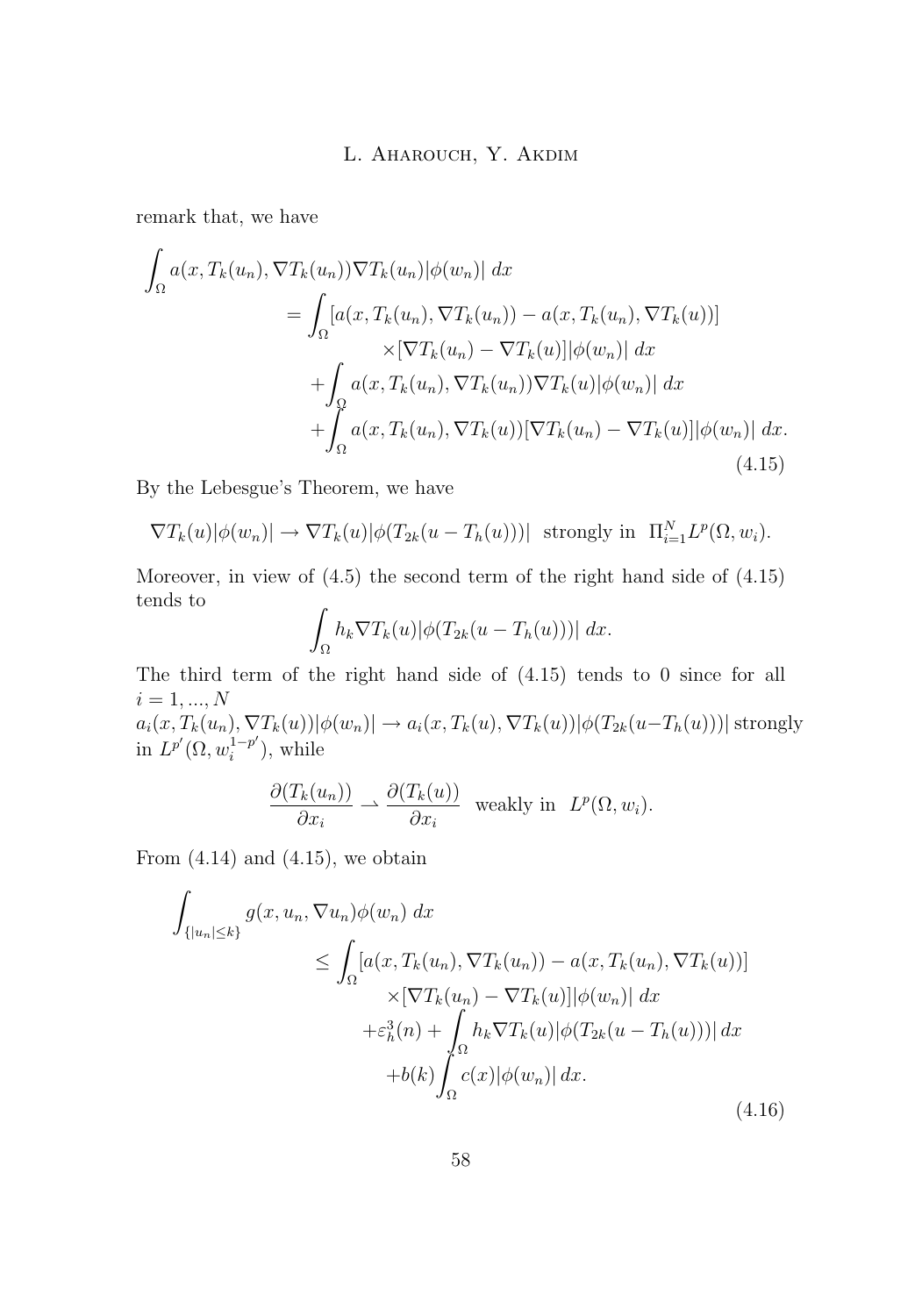<span id="page-12-0"></span>remark that, we have

$$
\int_{\Omega} a(x, T_k(u_n), \nabla T_k(u_n)) \nabla T_k(u_n) |\phi(w_n)| dx
$$
\n
$$
= \int_{\Omega} [a(x, T_k(u_n), \nabla T_k(u_n)) - a(x, T_k(u_n), \nabla T_k(u))]
$$
\n
$$
\times [\nabla T_k(u_n) - \nabla T_k(u)] |\phi(w_n)| dx
$$
\n
$$
+ \int_{\Omega} a(x, T_k(u_n), \nabla T_k(u_n)) \nabla T_k(u) |\phi(w_n)| dx
$$
\n
$$
+ \int_{\Omega} a(x, T_k(u_n), \nabla T_k(u)) [\nabla T_k(u_n) - \nabla T_k(u)] |\phi(w_n)| dx.
$$
\n(4.15)

By the Lebesgue's Theorem, we have

$$
\nabla T_k(u)|\phi(w_n)| \to \nabla T_k(u)|\phi(T_{2k}(u - T_h(u)))| \text{ strongly in } \Pi_{i=1}^N L^p(\Omega, w_i).
$$

Moreover, in view of [\(4](#page-9-0).5) the second term of the right hand side of (4.15) tends to

$$
\int_{\Omega} h_k \nabla T_k(u) |\phi(T_{2k}(u - T_h(u)))| dx.
$$

The third term of the right hand side of (4.15) tends to 0 since for all  $i = 1, ..., N$  $a_i(x, T_k(u_n), \nabla T_k(u))|\phi(w_n)| \to a_i(x, T_k(u), \nabla T_k(u))|\phi(T_{2k}(u-T_h(u)))|$  strongly in  $L^{p'}(\Omega, w_i^{1-p'})$  $i^{1-p'}$ ), while

$$
\frac{\partial (T_k(u_n))}{\partial x_i} \rightharpoonup \frac{\partial (T_k(u))}{\partial x_i} \text{ weakly in } L^p(\Omega, w_i).
$$

From  $(4.14)$  $(4.14)$  and  $(4.15)$ , we obtain

$$
\int_{\{|u_n| \le k\}} g(x, u_n, \nabla u_n) \phi(w_n) dx
$$
\n
$$
\le \int_{\Omega} [a(x, T_k(u_n), \nabla T_k(u_n)) - a(x, T_k(u_n), \nabla T_k(u))]
$$
\n
$$
\times [\nabla T_k(u_n) - \nabla T_k(u)] |\phi(w_n)| dx
$$
\n
$$
+ \varepsilon_h^3(n) + \int_{\Omega} h_k \nabla T_k(u) |\phi(T_{2k}(u - T_h(u)))| dx
$$
\n
$$
+ b(k) \int_{\Omega} c(x) |\phi(w_n)| dx.
$$
\n(4.16)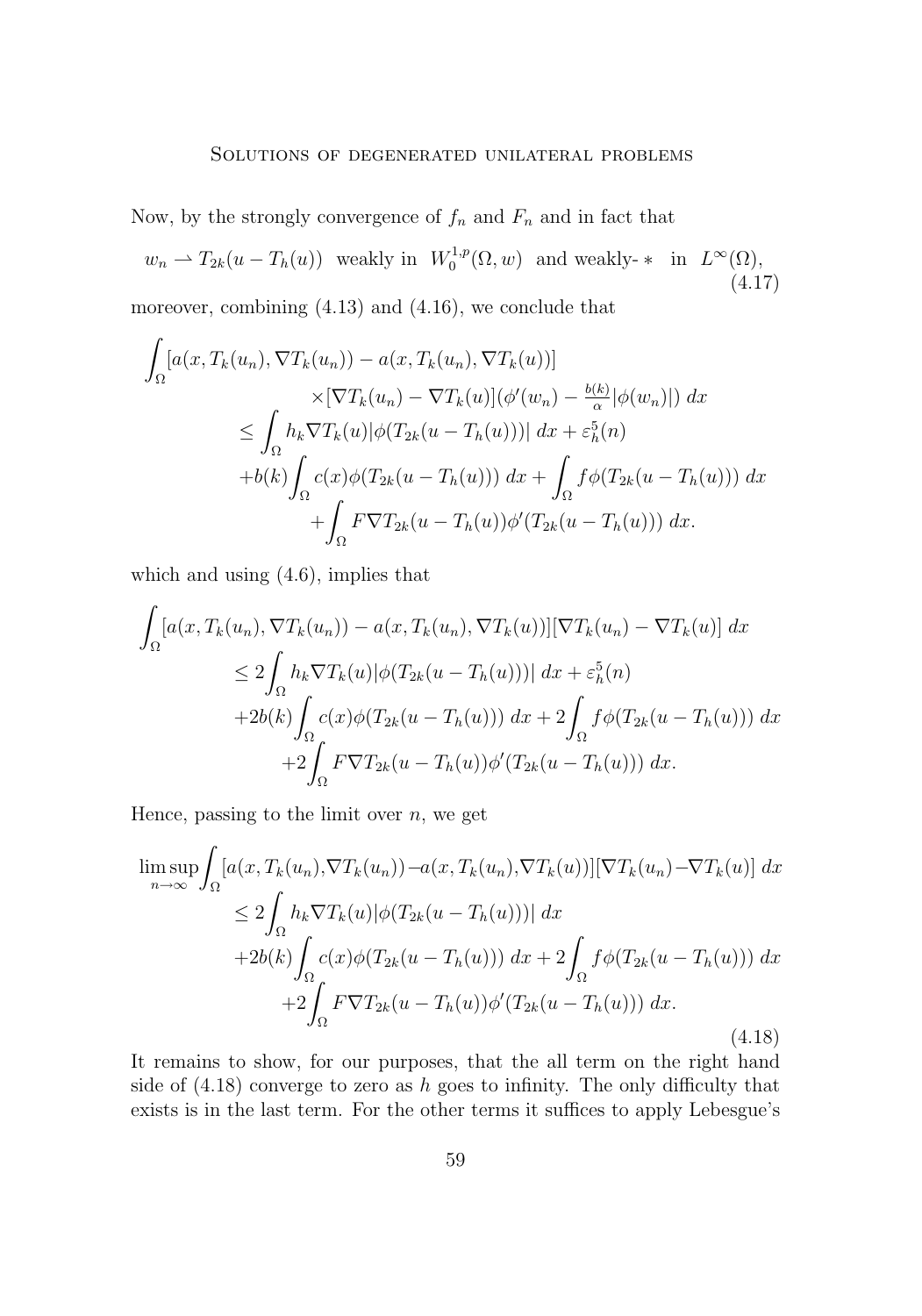#### Solutions of degenerated unilateral problems

<span id="page-13-0"></span>Now, by the strongly convergence of  $f_n$  and  $F_n$  and in fact that

 $w_n \rightharpoonup T_{2k}(u - T_h(u))$  weakly in  $W_0^{1,p}(\Omega, w)$  and weakly-  $*$  in  $L^{\infty}(\Omega)$ , (4.17) moreover, combining (4.[13\)](#page-11-0) and (4.[16\)](#page-12-0), we conclude that

$$
\int_{\Omega} \left[ a(x, T_k(u_n), \nabla T_k(u_n)) - a(x, T_k(u_n), \nabla T_k(u)) \right] \times \left[ \nabla T_k(u_n) - \nabla T_k(u) \right] (\phi'(w_n) - \frac{b(k)}{\alpha} |\phi(w_n)|) dx
$$
\n
$$
\leq \int_{\Omega} h_k \nabla T_k(u) |\phi(T_{2k}(u - T_h(u)))| dx + \varepsilon_h^5(n)
$$
\n
$$
+ b(k) \int_{\Omega} c(x) \phi(T_{2k}(u - T_h(u))) dx + \int_{\Omega} f \phi(T_{2k}(u - T_h(u))) dx
$$
\n
$$
+ \int_{\Omega} F \nabla T_{2k}(u - T_h(u)) \phi'(T_{2k}(u - T_h(u))) dx.
$$

which and using  $(4.6)$  $(4.6)$ , implies that

$$
\int_{\Omega} [a(x, T_k(u_n), \nabla T_k(u_n)) - a(x, T_k(u_n), \nabla T_k(u))] [\nabla T_k(u_n) - \nabla T_k(u)] dx
$$
  
\n
$$
\leq 2 \int_{\Omega} h_k \nabla T_k(u) |\phi(T_{2k}(u - T_h(u)))| dx + \varepsilon_h^5(n)
$$
  
\n
$$
+ 2b(k) \int_{\Omega} c(x) \phi(T_{2k}(u - T_h(u))) dx + 2 \int_{\Omega} f \phi(T_{2k}(u - T_h(u))) dx
$$
  
\n
$$
+ 2 \int_{\Omega} F \nabla T_{2k}(u - T_h(u)) \phi'(T_{2k}(u - T_h(u))) dx.
$$

Hence, passing to the limit over  $n$ , we get

$$
\limsup_{n \to \infty} \int_{\Omega} [a(x, T_k(u_n), \nabla T_k(u_n)) - a(x, T_k(u_n), \nabla T_k(u))][\nabla T_k(u_n) - \nabla T_k(u)] dx
$$
  
\n
$$
\leq 2 \int_{\Omega} h_k \nabla T_k(u) |\phi(T_{2k}(u - T_h(u)))| dx
$$
  
\n
$$
+ 2b(k) \int_{\Omega} c(x) \phi(T_{2k}(u - T_h(u))) dx + 2 \int_{\Omega} f \phi(T_{2k}(u - T_h(u))) dx
$$
  
\n
$$
+ 2 \int_{\Omega} F \nabla T_{2k}(u - T_h(u)) \phi'(T_{2k}(u - T_h(u))) dx.
$$
\n(4.18)

It remains to show, for our purposes, that the all term on the right hand side of  $(4.18)$  converge to zero as h goes to infinity. The only difficulty that exists is in the last term. For the other terms it suffices to apply Lebesgue's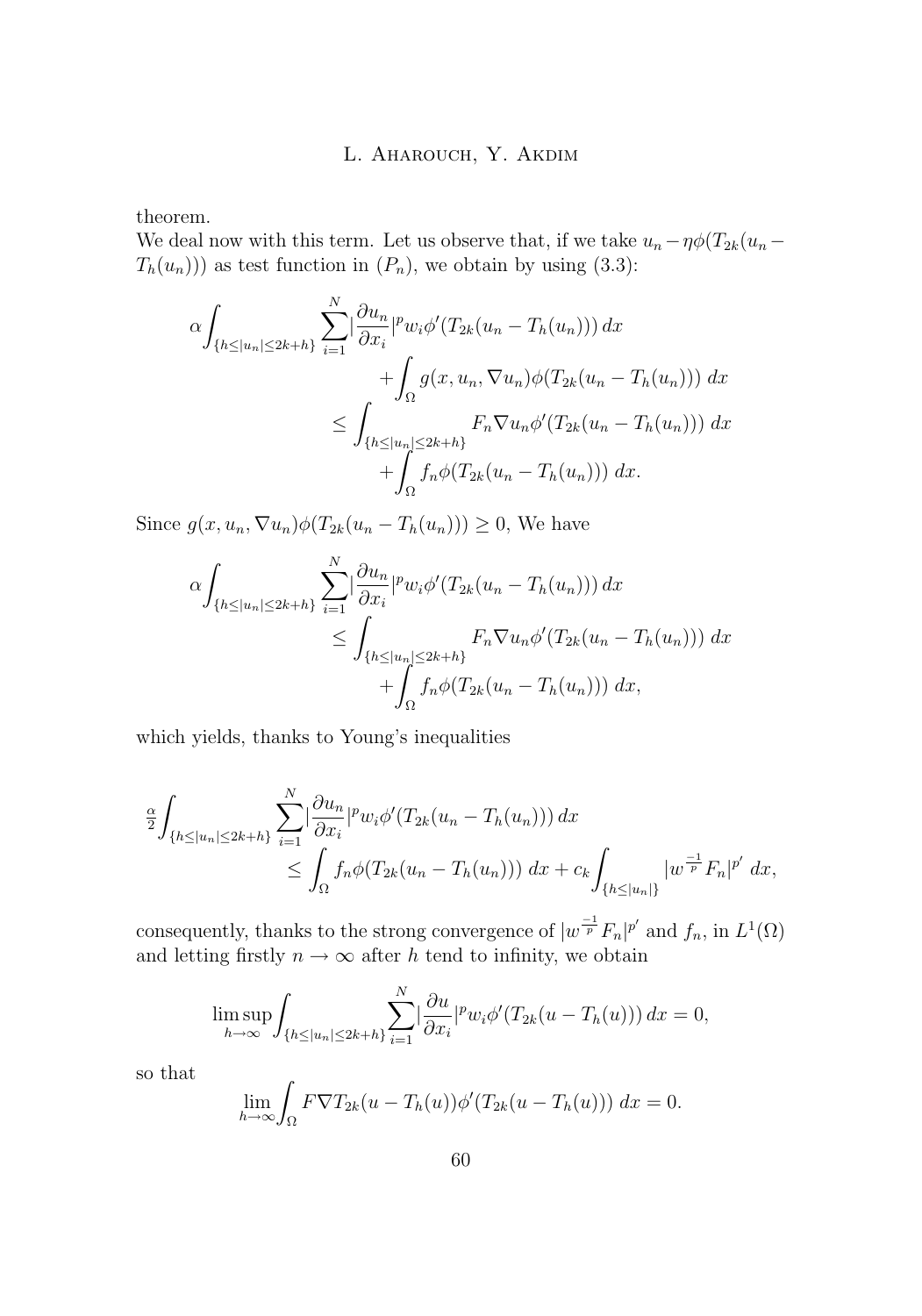theorem.

We deal now with this term. Let us observe that, if we take  $u_n - \eta \phi(T_{2k}(u_n T_h(u_n))$  as test function in  $(P_n)$ , we obtain by using (3.[3\)](#page-5-0):

$$
\alpha \int_{\{h \le |u_n| \le 2k+h\}} \sum_{i=1}^N |\frac{\partial u_n}{\partial x_i}|^p w_i \phi'(T_{2k}(u_n - T_h(u_n))) dx \n+ \int_{\Omega} g(x, u_n, \nabla u_n) \phi(T_{2k}(u_n - T_h(u_n))) dx \n\le \int_{\{h \le |u_n| \le 2k+h\}} F_n \nabla u_n \phi'(T_{2k}(u_n - T_h(u_n))) dx \n+ \int_{\Omega} f_n \phi(T_{2k}(u_n - T_h(u_n))) dx.
$$

Since  $g(x, u_n, \nabla u_n)\phi(T_{2k}(u_n - T_h(u_n))) \geq 0$ , We have

$$
\alpha \int_{\{h \le |u_n| \le 2k+h\}} \sum_{i=1}^N \left| \frac{\partial u_n}{\partial x_i} \right|^p w_i \phi'(T_{2k}(u_n - T_h(u_n))) dx
$$
  
\n
$$
\le \int_{\{h \le |u_n| \le 2k+h\}} F_n \nabla u_n \phi'(T_{2k}(u_n - T_h(u_n))) dx
$$
  
\n
$$
+ \int_{\Omega} f_n \phi(T_{2k}(u_n - T_h(u_n))) dx,
$$

which yields, thanks to Young's inequalities

$$
\frac{\alpha}{2} \int_{\{h \le |u_n| \le 2k + h\}} \sum_{i=1}^N \left| \frac{\partial u_n}{\partial x_i} \right|^p w_i \phi'(T_{2k}(u_n - T_h(u_n))) dx
$$
  
\n
$$
\le \int_{\Omega} f_n \phi(T_{2k}(u_n - T_h(u_n))) dx + c_k \int_{\{h \le |u_n|\}} |w^{\frac{-1}{p}} F_n|^{p'} dx,
$$

consequently, thanks to the strong convergence of  $|w^{\frac{-1}{p}}F_n|^{p'}$  and  $f_n$ , in  $L^1(\Omega)$ and letting firstly  $n \to \infty$  after h tend to infinity, we obtain

$$
\limsup_{h \to \infty} \int_{\{h \le |u_n| \le 2k+h\}} \sum_{i=1}^N \left|\frac{\partial u}{\partial x_i}\right|^p w_i \phi'(T_{2k}(u - T_h(u))) dx = 0,
$$

so that

$$
\lim_{h \to \infty} \int_{\Omega} F \nabla T_{2k}(u - T_h(u)) \phi'(T_{2k}(u - T_h(u))) dx = 0.
$$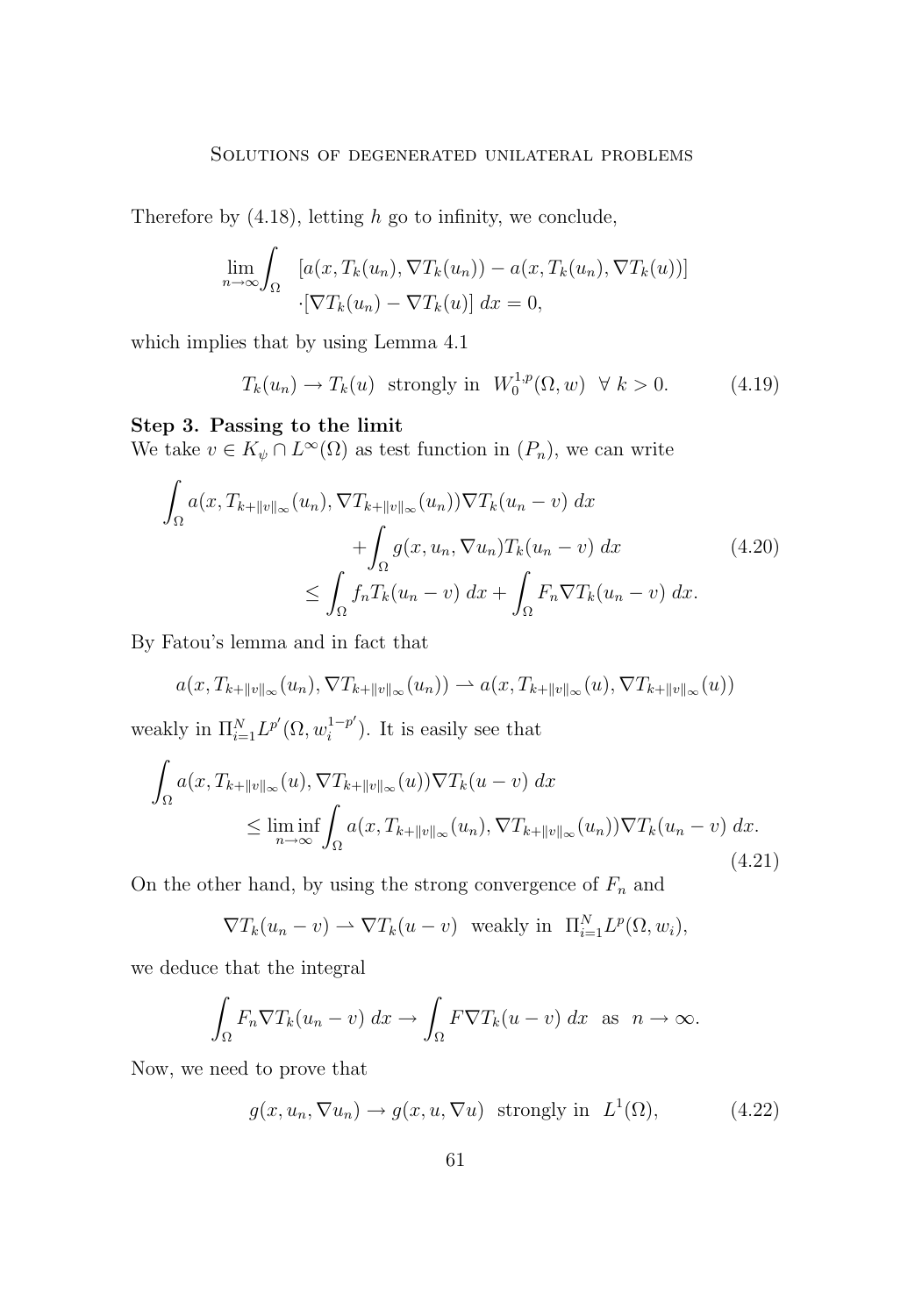<span id="page-15-0"></span>Therefore by  $(4.18)$  $(4.18)$ , letting h go to infinity, we conclude,

$$
\lim_{n \to \infty} \int_{\Omega} \left[ a(x, T_k(u_n), \nabla T_k(u_n)) - a(x, T_k(u_n), \nabla T_k(u)) \right]
$$

$$
\cdot \left[ \nabla T_k(u_n) - \nabla T_k(u) \right] dx = 0,
$$

which implies that by using Lemma 4.1

$$
T_k(u_n) \to T_k(u) \text{ strongly in } W_0^{1,p}(\Omega, w) \quad \forall \ k > 0. \tag{4.19}
$$

#### **Step 3. Passing to the limit**

We take  $v \in K_{\psi} \cap L^{\infty}(\Omega)$  as test function in  $(P_n)$ , we can write

$$
\int_{\Omega} a(x, T_{k+||v||_{\infty}}(u_n), \nabla T_{k+||v||_{\infty}}(u_n)) \nabla T_k(u_n - v) dx \n+ \int_{\Omega} g(x, u_n, \nabla u_n) T_k(u_n - v) dx \n\leq \int_{\Omega} f_n T_k(u_n - v) dx + \int_{\Omega} F_n \nabla T_k(u_n - v) dx.
$$
\n(4.20)

By Fatou's lemma and in fact that

$$
a(x, T_{k+||v||_{\infty}}(u_n), \nabla T_{k+||v||_{\infty}}(u_n)) \rightharpoonup a(x, T_{k+||v||_{\infty}}(u), \nabla T_{k+||v||_{\infty}}(u))
$$

weakly in  $\Pi_{i=1}^N L^{p'}(\Omega, w_i^{1-p'})$  $i^{1-p'}$ ). It is easily see that

$$
\int_{\Omega} a(x, T_{k+||v||_{\infty}}(u), \nabla T_{k+||v||_{\infty}}(u)) \nabla T_{k}(u-v) dx
$$
\n
$$
\leq \liminf_{n \to \infty} \int_{\Omega} a(x, T_{k+||v||_{\infty}}(u_{n}), \nabla T_{k+||v||_{\infty}}(u_{n})) \nabla T_{k}(u_{n}-v) dx.
$$
\n(4.21)

On the other hand, by using the strong convergence of  $F_n$  and

$$
\nabla T_k(u_n - v) \rightharpoonup \nabla T_k(u - v) \quad \text{weakly in} \quad \Pi_{i=1}^N L^p(\Omega, w_i),
$$

we deduce that the integral

$$
\int_{\Omega} F_n \nabla T_k (u_n - v) \, dx \to \int_{\Omega} F \nabla T_k (u - v) \, dx \text{ as } n \to \infty.
$$

Now, we need to prove that

$$
g(x, u_n, \nabla u_n) \to g(x, u, \nabla u) \text{ strongly in } L^1(\Omega), \tag{4.22}
$$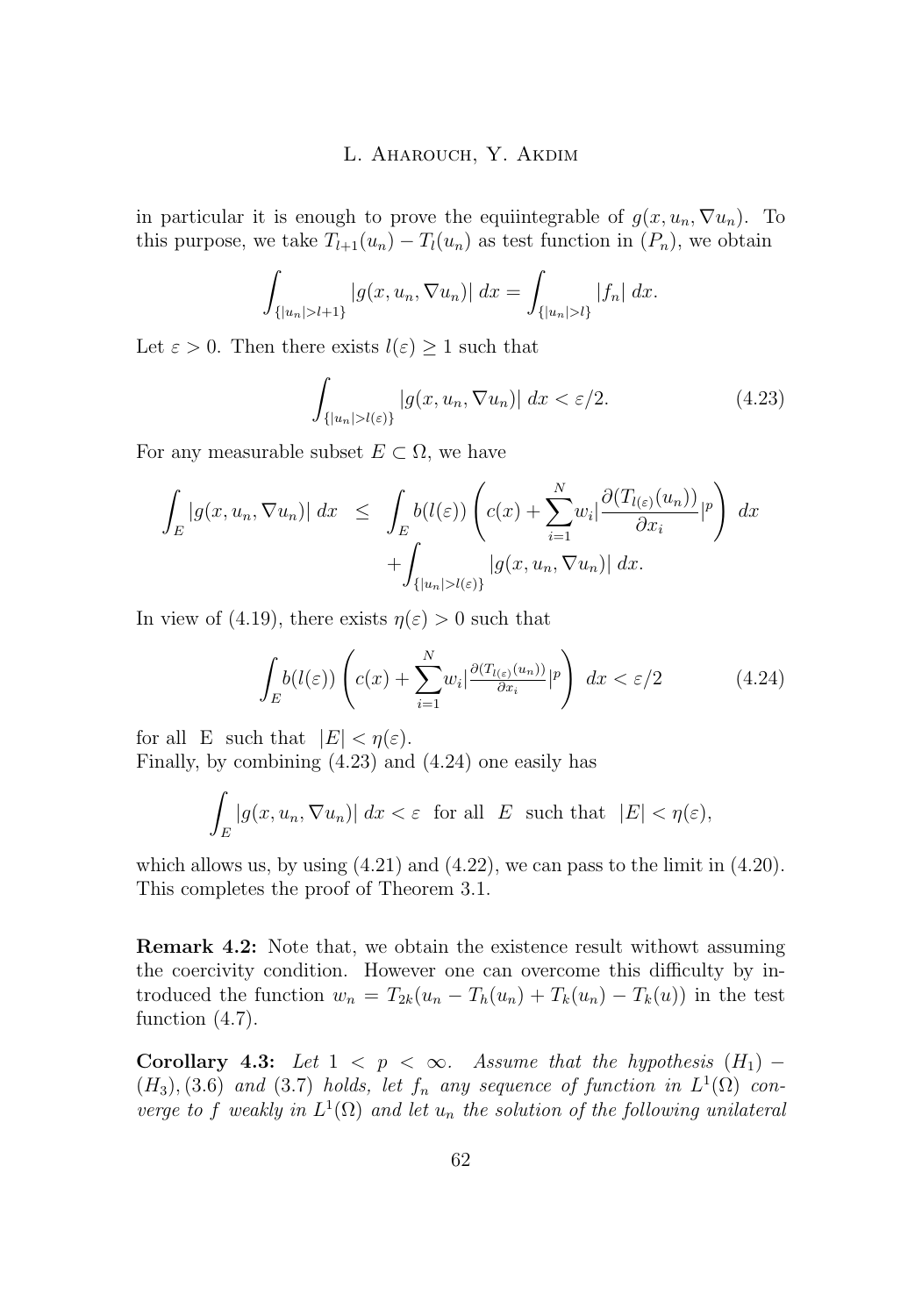in particular it is enough to prove the equiintegrable of  $g(x, u_n, \nabla u_n)$ . To this purpose, we take  $T_{l+1}(u_n) - T_l(u_n)$  as test function in  $(P_n)$ , we obtain

$$
\int_{\{|u_n|>l+1\}} |g(x, u_n, \nabla u_n)| \, dx = \int_{\{|u_n|>l\}} |f_n| \, dx.
$$

Let  $\varepsilon > 0$ . Then there exists  $l(\varepsilon) \geq 1$  such that

$$
\int_{\{|u_n| > l(\varepsilon)\}} |g(x, u_n, \nabla u_n)| \, dx < \varepsilon/2. \tag{4.23}
$$

For any measurable subset  $E \subset \Omega$ , we have

$$
\int_{E} |g(x, u_n, \nabla u_n)| dx \leq \int_{E} b(l(\varepsilon)) \left( c(x) + \sum_{i=1}^{N} w_i \left| \frac{\partial (T_{l(\varepsilon)}(u_n))}{\partial x_i} \right|^p \right) dx \n+ \int_{\{|u_n| > l(\varepsilon)\}} |g(x, u_n, \nabla u_n)| dx.
$$

In view of (4.[19\)](#page-15-0), there exists  $\eta(\varepsilon) > 0$  such that

$$
\int_{E} b(l(\varepsilon)) \left( c(x) + \sum_{i=1}^{N} w_i \left| \frac{\partial (T_{l(\varepsilon)}(u_n))}{\partial x_i} \right|^{p} \right) dx < \varepsilon / 2 \tag{4.24}
$$

for all E such that  $|E| < \eta(\varepsilon)$ . Finally, by combining (4.23) and (4.24) one easily has

$$
\int_{E} |g(x, u_n, \nabla u_n)| dx < \varepsilon \text{ for all } E \text{ such that } |E| < \eta(\varepsilon),
$$

which allows us, by using  $(4.21)$  $(4.21)$  and  $(4.22)$  $(4.22)$ , we can pass to the limit in  $(4.20)$  $(4.20)$ . This completes the proof of Theorem 3.1.

**Remark 4.2:** Note that, we obtain the existence result withowt assuming the coercivity condition. However one can overcome this difficulty by introduced the function  $w_n = T_{2k}(u_n - T_h(u_n) + T_k(u_n) - T_k(u))$  in the test function  $(4.7)$ .

**Corollary 4.3:** *Let*  $1 < p < \infty$ *. Assume that the hypothesis*  $(H_1)$  −  $(H_3)$ , [\(3](#page-6-0).6) *and* (3.7) *holds, let*  $f_n$  *any sequence of function in*  $L^1(\Omega)$  *converge to* f weakly in  $L^1(\Omega)$  and let  $u_n$  the solution of the following unilateral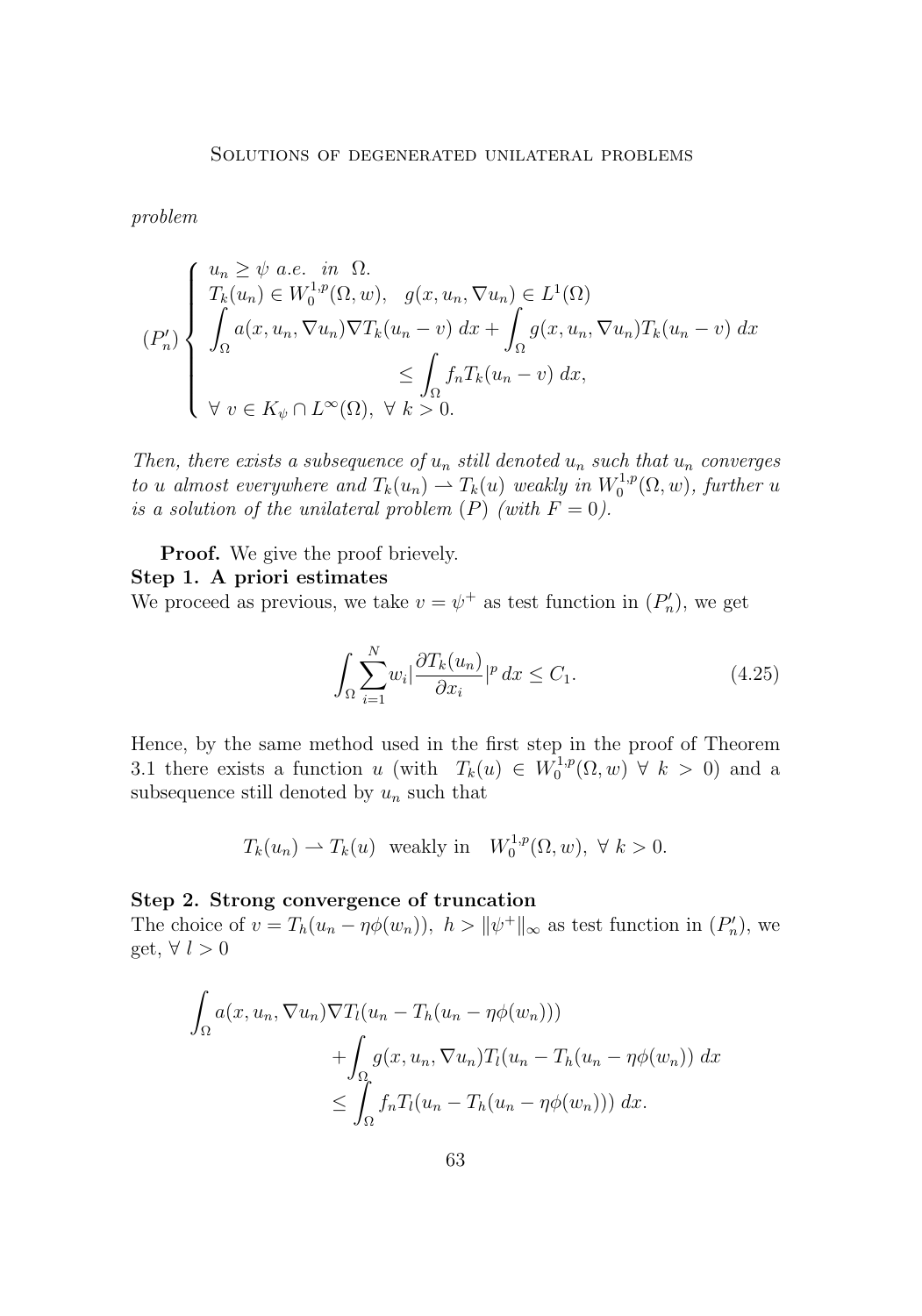*problem*

$$
(P_n')\begin{cases} u_n \geq \psi \ a.e. & in \ \Omega. \\ T_k(u_n) \in W_0^{1,p}(\Omega, w), & g(x, u_n, \nabla u_n) \in L^1(\Omega) \\ \int_{\Omega} a(x, u_n, \nabla u_n) \nabla T_k(u_n - v) \ dx + \int_{\Omega} g(x, u_n, \nabla u_n) T_k(u_n - v) \ dx \\ \forall \ v \in K_{\psi} \cap L^{\infty}(\Omega), \ \forall \ k > 0. \end{cases}
$$

*Then, there exists a subsequence of*  $u_n$  *still denoted*  $u_n$  *such that*  $u_n$  *converges to u almost everywhere and*  $T_k(u_n) \rightharpoonup T_k(u)$  *weakly in*  $W_0^{1,p}(\Omega, w)$ *, further u is a solution of the unilateral problem*  $(P)$  *(with*  $F = 0$ *).* 

**Proof.** We give the proof brievely.

#### **Step 1. A priori estimates**

We proceed as previous, we take  $v = \psi^+$  as test function in  $(P'_n)$ , we get

$$
\int_{\Omega} \sum_{i=1}^{N} w_i \left| \frac{\partial T_k(u_n)}{\partial x_i} \right|^{p} dx \le C_1.
$$
\n(4.25)

Hence, by the same method used in the first step in the proof of Theorem 3.1 there exists a function u (with  $T_k(u) \in W_0^{1,p}(\Omega,w) \forall k > 0$ ) and a subsequence still denoted by  $u_n$  such that

$$
T_k(u_n) \rightharpoonup T_k(u)
$$
 weakly in  $W_0^{1,p}(\Omega, w)$ ,  $\forall k > 0$ .

#### **Step 2. Strong convergence of truncation**

The choice of  $v = T_h(u_n - \eta \phi(w_n))$ ,  $h > ||\psi^+||_{\infty}$  as test function in  $(P'_n)$ , we get,  $\forall l > 0$ 

$$
\int_{\Omega} a(x, u_n, \nabla u_n) \nabla T_l(u_n - T_h(u_n - \eta \phi(w_n)))
$$

$$
+ \int_{\Omega} g(x, u_n, \nabla u_n) T_l(u_n - T_h(u_n - \eta \phi(w_n))) dx
$$

$$
\leq \int_{\Omega} f_n T_l(u_n - T_h(u_n - \eta \phi(w_n))) dx.
$$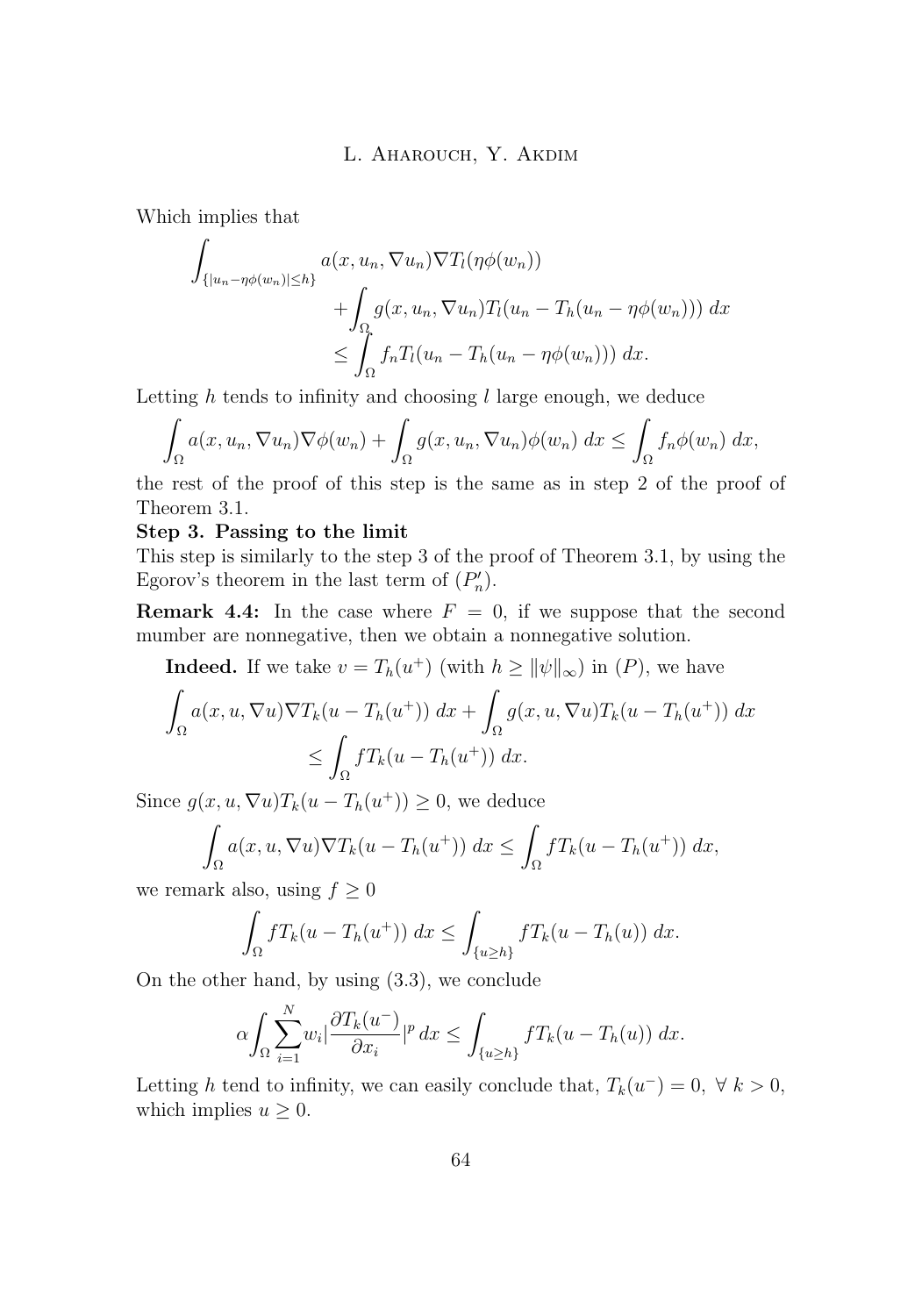Which implies that

$$
\int_{\{|u_n-\eta\phi(w_n)|\leq h\}} a(x, u_n, \nabla u_n) \nabla T_l(\eta\phi(w_n)) + \int_{\Omega} g(x, u_n, \nabla u_n) T_l(u_n - T_h(u_n - \eta\phi(w_n))) dx
$$
  

$$
\leq \int_{\Omega} f_n T_l(u_n - T_h(u_n - \eta\phi(w_n))) dx.
$$

Letting  $h$  tends to infinity and choosing  $l$  large enough, we deduce

$$
\int_{\Omega} a(x, u_n, \nabla u_n) \nabla \phi(w_n) + \int_{\Omega} g(x, u_n, \nabla u_n) \phi(w_n) dx \leq \int_{\Omega} f_n \phi(w_n) dx,
$$

the rest of the proof of this step is the same as in step 2 of the proof of Theorem 3.1.

#### **Step 3. Passing to the limit**

This step is similarly to the step 3 of the proof of Theorem 3.1, by using the Egorov's theorem in the last term of  $(P'_n)$ .

**Remark 4.4:** In the case where  $F = 0$ , if we suppose that the second mumber are nonnegative, then we obtain a nonnegative solution.

**Indeed.** If we take  $v = T_h(u^+)$  (with  $h \ge ||\psi||_{\infty}$ ) in  $(P)$ , we have

$$
\int_{\Omega} a(x, u, \nabla u) \nabla T_k(u - T_h(u^+)) dx + \int_{\Omega} g(x, u, \nabla u) T_k(u - T_h(u^+)) dx
$$
  

$$
\leq \int_{\Omega} f T_k(u - T_h(u^+)) dx.
$$

Since  $g(x, u, \nabla u)T_k(u - T_h(u^+)) \geq 0$ , we deduce

$$
\int_{\Omega} a(x, u, \nabla u) \nabla T_k(u - T_h(u^+)) dx \le \int_{\Omega} f T_k(u - T_h(u^+)) dx,
$$

we remark also, using  $f \geq 0$ 

 $\ddot{\phantom{a}}$ 

$$
\int_{\Omega} f T_k(u - T_h(u^+)) dx \le \int_{\{u \ge h\}} f T_k(u - T_h(u)) dx.
$$

On the other hand, by using [\(3](#page-5-0).3), we conclude

$$
\alpha \int_{\Omega} \sum_{i=1}^{N} w_i \left| \frac{\partial T_k(u^-)}{\partial x_i} \right|^p dx \le \int_{\{u \ge h\}} f T_k(u - T_h(u)) dx.
$$

Letting h tend to infinity, we can easily conclude that,  $T_k(u^-) = 0, \forall k > 0$ , which implies  $u \geq 0$ .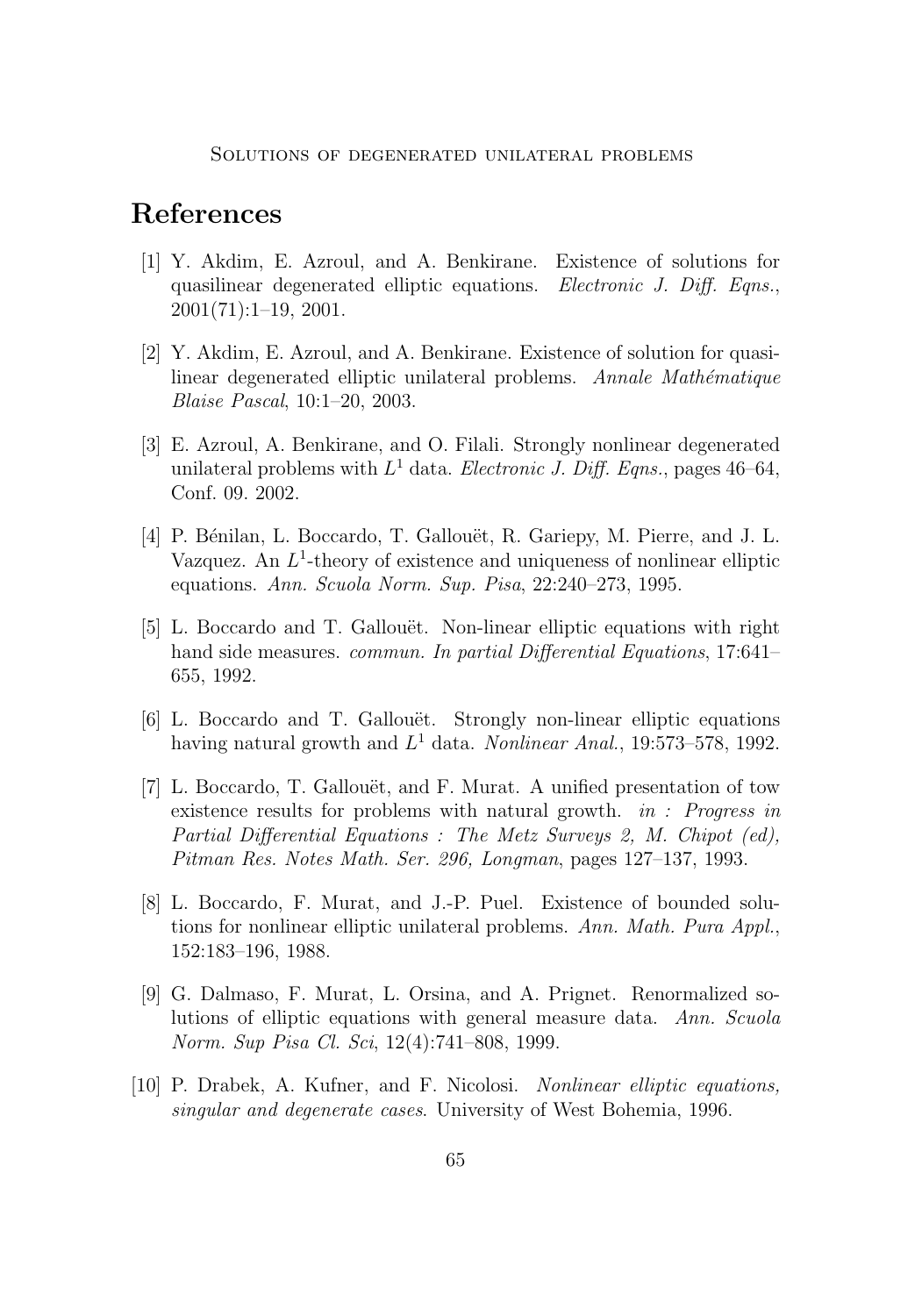# <span id="page-19-0"></span>**References**

- [1] Y. Akdim, E. Azroul, and A. Benkirane. Existence of solutions for quasilinear degenerated elliptic equations. *Electronic J. Diff. Eqns.*, 2001(71):1–19, 2001.
- [2] Y. Akdim, E. Azroul, and A. Benkirane. Existence of solution for quasilinear degenerated elliptic unilateral problems. *Annale Mathématique Blaise Pascal*, 10:1–20, 2003.
- [3] E. Azroul, A. Benkirane, and O. Filali. Strongly nonlinear degenerated unilateral problems with  $L^1$  data. *Electronic J. Diff. Eqns.*, pages  $46-64$ , Conf. 09. 2002.
- [4] P. Bénilan, L. Boccardo, T. Gallouët, R. Gariepy, M. Pierre, and J. L. Vazquez. An  $L^1$ -theory of existence and uniqueness of nonlinear elliptic equations. *Ann. Scuola Norm. Sup. Pisa*, 22:240–273, 1995.
- [5] L. Boccardo and T. Gallouët. Non-linear elliptic equations with right hand side measures. *commun. In partial Differential Equations*, 17:641– 655, 1992.
- [6] L. Boccardo and T. Gallouët. Strongly non-linear elliptic equations having natural growth and L <sup>1</sup> data. *Nonlinear Anal.*, 19:573–578, 1992.
- [7] L. Boccardo, T. Gallouët, and F. Murat. A unified presentation of tow existence results for problems with natural growth. *in : Progress in Partial Differential Equations : The Metz Surveys 2, M. Chipot (ed), Pitman Res. Notes Math. Ser. 296, Longman*, pages 127–137, 1993.
- [8] L. Boccardo, F. Murat, and J.-P. Puel. Existence of bounded solutions for nonlinear elliptic unilateral problems. *Ann. Math. Pura Appl.*, 152:183–196, 1988.
- [9] G. Dalmaso, F. Murat, L. Orsina, and A. Prignet. Renormalized solutions of elliptic equations with general measure data. *Ann. Scuola Norm. Sup Pisa Cl. Sci*, 12(4):741–808, 1999.
- [10] P. Drabek, A. Kufner, and F. Nicolosi. *Nonlinear elliptic equations, singular and degenerate cases*. University of West Bohemia, 1996.